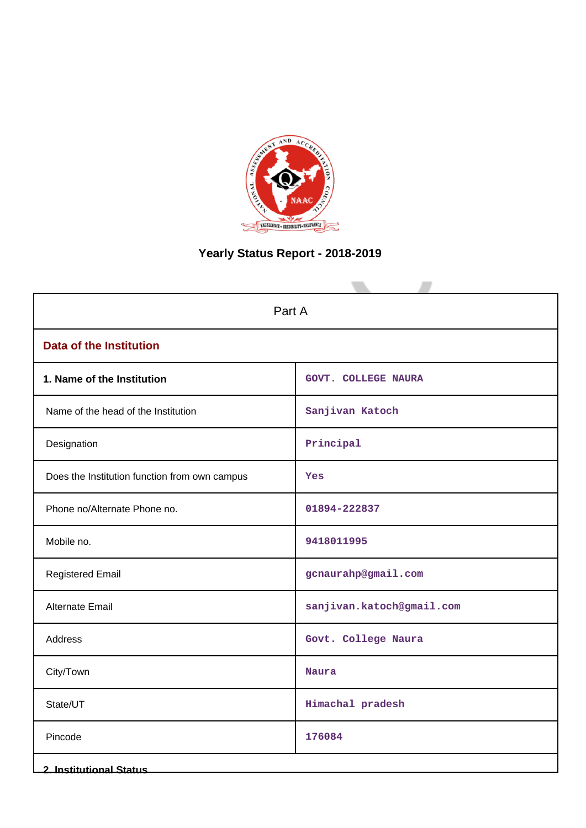

# **Yearly Status Report - 2018-2019**

| Part A                                        |                            |  |  |  |  |
|-----------------------------------------------|----------------------------|--|--|--|--|
| <b>Data of the Institution</b>                |                            |  |  |  |  |
| 1. Name of the Institution                    | <b>GOVT. COLLEGE NAURA</b> |  |  |  |  |
| Name of the head of the Institution           | Sanjivan Katoch            |  |  |  |  |
| Designation                                   | Principal                  |  |  |  |  |
| Does the Institution function from own campus | Yes                        |  |  |  |  |
| Phone no/Alternate Phone no.                  | 01894-222837               |  |  |  |  |
| Mobile no.                                    | 9418011995                 |  |  |  |  |
| <b>Registered Email</b>                       | gcnaurahp@gmail.com        |  |  |  |  |
| Alternate Email                               | sanjivan.katoch@gmail.com  |  |  |  |  |
| Address                                       | Govt. College Naura        |  |  |  |  |
| City/Town                                     | <b>Naura</b>               |  |  |  |  |
| State/UT                                      | Himachal pradesh           |  |  |  |  |
| Pincode                                       | 176084                     |  |  |  |  |
| <b>2. Institutional Status</b>                |                            |  |  |  |  |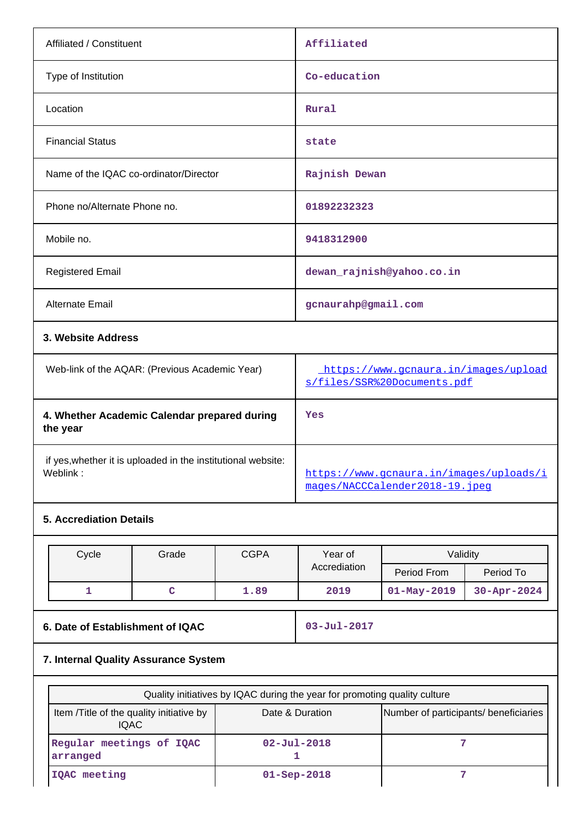| Affiliated / Constituent                                 | Affiliated                                                          |  |  |  |
|----------------------------------------------------------|---------------------------------------------------------------------|--|--|--|
| Type of Institution                                      | Co-education                                                        |  |  |  |
| Location                                                 | Rural                                                               |  |  |  |
| <b>Financial Status</b>                                  | state                                                               |  |  |  |
| Name of the IQAC co-ordinator/Director                   | Rajnish Dewan                                                       |  |  |  |
| Phone no/Alternate Phone no.                             | 01892232323                                                         |  |  |  |
| Mobile no.                                               | 9418312900                                                          |  |  |  |
| <b>Registered Email</b>                                  | dewan_rajnish@yahoo.co.in                                           |  |  |  |
| Alternate Email                                          | gcnaurahp@gmail.com                                                 |  |  |  |
| 3. Website Address                                       |                                                                     |  |  |  |
| Web-link of the AQAR: (Previous Academic Year)           | https://www.gcnaura.in/images/upload<br>s/files/SSR%20Documents.pdf |  |  |  |
| 4. Whether Academic Calendar prepared during<br>the year | Yes                                                                 |  |  |  |
|                                                          |                                                                     |  |  |  |

 if yes,whether it is uploaded in the institutional website: Weblink: which is a set of the set of the set of the set of the set of the set of the set of the set of the set of the set of the set of the set of the set of the set of the set of the set of the set of the set of the set

# **5. Accrediation Details**

| Cycle | Grade | CGPA | Validitv<br>Year of |                   |                    |  |
|-------|-------|------|---------------------|-------------------|--------------------|--|
|       |       |      | Accrediation        | Period From       | Period To          |  |
|       |       | 1.89 | 2019                | $01 - May - 2019$ | $30 - Appr - 2024$ |  |

**6. Date of Establishment of IQAC 03-Jul-2017**

[mages/NACCCalender2018-19.jpeg](https://www.gcnaura.in/images/uploads/images/NACCCalender2018-19.jpeg)

# **7. Internal Quality Assurance System**

| Quality initiatives by IQAC during the year for promoting quality culture                                            |                    |  |  |  |  |  |  |
|----------------------------------------------------------------------------------------------------------------------|--------------------|--|--|--|--|--|--|
| Item / Title of the quality initiative by<br>Number of participants/ beneficiaries<br>Date & Duration<br><b>IQAC</b> |                    |  |  |  |  |  |  |
| Regular meetings of IQAC<br>arranged                                                                                 | $02 - Ju1 - 2018$  |  |  |  |  |  |  |
| IOAC meeting                                                                                                         | $01 -$ Sep $-2018$ |  |  |  |  |  |  |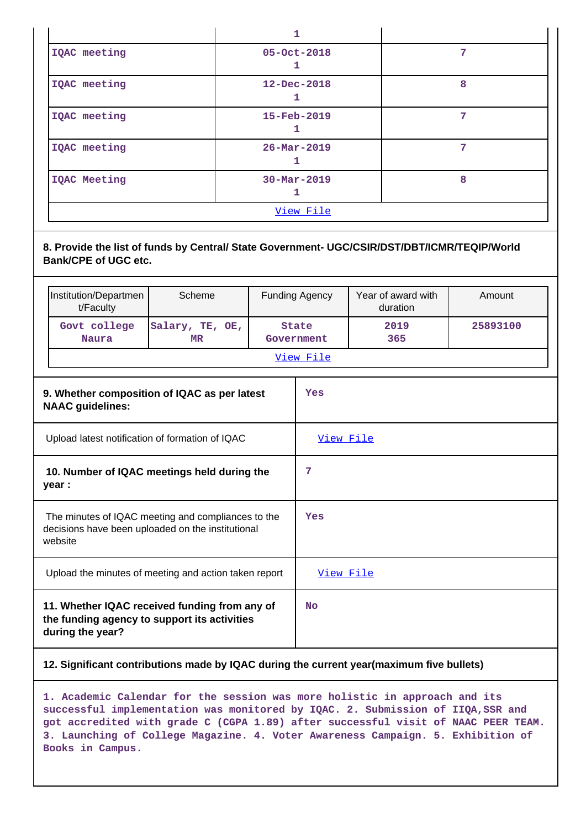|              | 1                        |   |  |  |  |  |  |
|--------------|--------------------------|---|--|--|--|--|--|
| IQAC meeting | 05-Oct-2018              | 7 |  |  |  |  |  |
| IQAC meeting | $12 - Dec - 2018$        | 8 |  |  |  |  |  |
| IQAC meeting | 15-Feb-2019              | 7 |  |  |  |  |  |
| IQAC meeting | $26 - \text{Mar} - 2019$ | 7 |  |  |  |  |  |
| IQAC Meeting | $30 - Mar - 2019$        | 8 |  |  |  |  |  |
| View File    |                          |   |  |  |  |  |  |

**8. Provide the list of funds by Central/ State Government- UGC/CSIR/DST/DBT/ICMR/TEQIP/World Bank/CPE of UGC etc.**

|                                                                                                                    | Institution/Departmen<br>t/Faculty                                                                                | Scheme                                                |  | <b>Funding Agency</b>      | Year of award with<br>duration | Amount   |
|--------------------------------------------------------------------------------------------------------------------|-------------------------------------------------------------------------------------------------------------------|-------------------------------------------------------|--|----------------------------|--------------------------------|----------|
|                                                                                                                    | Govt college<br><b>Naura</b>                                                                                      | Salary, TE, OE,<br>MR                                 |  | <b>State</b><br>Government | 2019<br>365                    | 25893100 |
|                                                                                                                    |                                                                                                                   |                                                       |  | View File                  |                                |          |
|                                                                                                                    | <b>NAAC</b> guidelines:                                                                                           | 9. Whether composition of IQAC as per latest          |  | Yes                        |                                |          |
|                                                                                                                    |                                                                                                                   | Upload latest notification of formation of IQAC       |  | View File                  |                                |          |
| 10. Number of IQAC meetings held during the<br>year :                                                              |                                                                                                                   |                                                       |  | 7                          |                                |          |
| The minutes of IQAC meeting and compliances to the<br>decisions have been uploaded on the institutional<br>website |                                                                                                                   |                                                       |  | Yes                        |                                |          |
|                                                                                                                    |                                                                                                                   | Upload the minutes of meeting and action taken report |  | <u>View File</u>           |                                |          |
|                                                                                                                    | 11. Whether IQAC received funding from any of<br>the funding agency to support its activities<br>during the year? |                                                       |  |                            |                                |          |

# **12. Significant contributions made by IQAC during the current year(maximum five bullets)**

**1. Academic Calendar for the session was more holistic in approach and its successful implementation was monitored by IQAC. 2. Submission of IIQA,SSR and got accredited with grade C (CGPA 1.89) after successful visit of NAAC PEER TEAM. 3. Launching of College Magazine. 4. Voter Awareness Campaign. 5. Exhibition of Books in Campus.**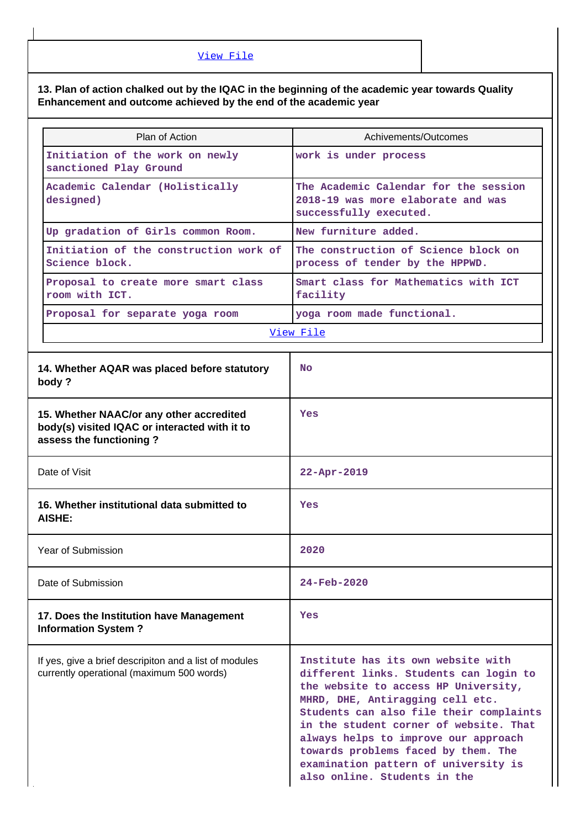[View File](https://assessmentonline.naac.gov.in/public/Postacc/Contribution/5024_Contribution.xlsx)

# **13. Plan of action chalked out by the IQAC in the beginning of the academic year towards Quality Enhancement and outcome achieved by the end of the academic year**

| Plan of Action                                                                                                       | Achivements/Outcomes                                                                                                                                                                                                                                                                                                                                                                                 |  |  |  |  |
|----------------------------------------------------------------------------------------------------------------------|------------------------------------------------------------------------------------------------------------------------------------------------------------------------------------------------------------------------------------------------------------------------------------------------------------------------------------------------------------------------------------------------------|--|--|--|--|
| Initiation of the work on newly<br>sanctioned Play Ground                                                            | work is under process                                                                                                                                                                                                                                                                                                                                                                                |  |  |  |  |
| Academic Calendar (Holistically<br>designed)                                                                         | The Academic Calendar for the session<br>2018-19 was more elaborate and was<br>successfully executed.                                                                                                                                                                                                                                                                                                |  |  |  |  |
| Up gradation of Girls common Room.                                                                                   | New furniture added.                                                                                                                                                                                                                                                                                                                                                                                 |  |  |  |  |
| Initiation of the construction work of<br>Science block.                                                             | The construction of Science block on<br>process of tender by the HPPWD.                                                                                                                                                                                                                                                                                                                              |  |  |  |  |
| Proposal to create more smart class<br>room with ICT.                                                                | Smart class for Mathematics with ICT<br>facility                                                                                                                                                                                                                                                                                                                                                     |  |  |  |  |
| Proposal for separate yoga room                                                                                      | yoga room made functional.                                                                                                                                                                                                                                                                                                                                                                           |  |  |  |  |
|                                                                                                                      | View File                                                                                                                                                                                                                                                                                                                                                                                            |  |  |  |  |
| 14. Whether AQAR was placed before statutory<br>body?                                                                | <b>No</b>                                                                                                                                                                                                                                                                                                                                                                                            |  |  |  |  |
| 15. Whether NAAC/or any other accredited<br>body(s) visited IQAC or interacted with it to<br>assess the functioning? | Yes                                                                                                                                                                                                                                                                                                                                                                                                  |  |  |  |  |
| Date of Visit                                                                                                        | $22 - Apr - 2019$                                                                                                                                                                                                                                                                                                                                                                                    |  |  |  |  |
| 16. Whether institutional data submitted to<br>AISHE:                                                                | Yes                                                                                                                                                                                                                                                                                                                                                                                                  |  |  |  |  |
| Year of Submission                                                                                                   | 2020                                                                                                                                                                                                                                                                                                                                                                                                 |  |  |  |  |
| Date of Submission                                                                                                   | $24 - Feh - 2020$                                                                                                                                                                                                                                                                                                                                                                                    |  |  |  |  |
| 17. Does the Institution have Management<br><b>Information System?</b>                                               | Yes                                                                                                                                                                                                                                                                                                                                                                                                  |  |  |  |  |
| If yes, give a brief descripiton and a list of modules<br>currently operational (maximum 500 words)                  | Institute has its own website with<br>different links. Students can login to<br>the website to access HP University,<br>MHRD, DHE, Antiragging cell etc.<br>Students can also file their complaints<br>in the student corner of website. That<br>always helps to improve our approach<br>towards problems faced by them. The<br>examination pattern of university is<br>also online. Students in the |  |  |  |  |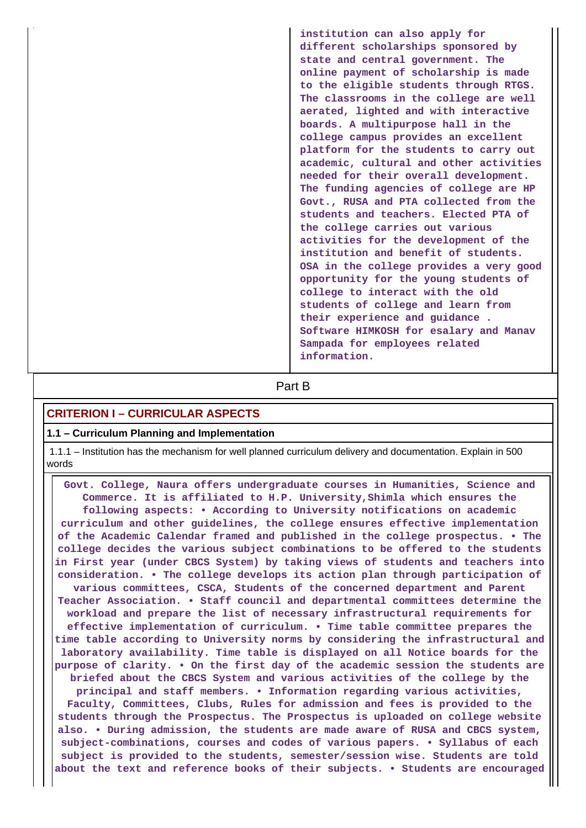**institution can also apply for different scholarships sponsored by state and central government. The online payment of scholarship is made to the eligible students through RTGS. The classrooms in the college are well aerated, lighted and with interactive boards. A multipurpose hall in the college campus provides an excellent platform for the students to carry out academic, cultural and other activities needed for their overall development. The funding agencies of college are HP Govt., RUSA and PTA collected from the students and teachers. Elected PTA of the college carries out various activities for the development of the institution and benefit of students. OSA in the college provides a very good opportunity for the young students of college to interact with the old students of college and learn from their experience and guidance . Software HIMKOSH for esalary and Manav Sampada for employees related information.**

# **Part B**

# **CRITERION I – CURRICULAR ASPECTS**

#### **1.1 – Curriculum Planning and Implementation**

 1.1.1 – Institution has the mechanism for well planned curriculum delivery and documentation. Explain in 500 words

 **Govt. College, Naura offers undergraduate courses in Humanities, Science and Commerce. It is affiliated to H.P. University,Shimla which ensures the following aspects: • According to University notifications on academic curriculum and other guidelines, the college ensures effective implementation of the Academic Calendar framed and published in the college prospectus. • The college decides the various subject combinations to be offered to the students in First year (under CBCS System) by taking views of students and teachers into consideration. • The college develops its action plan through participation of various committees, CSCA, Students of the concerned department and Parent Teacher Association. • Staff council and departmental committees determine the workload and prepare the list of necessary infrastructural requirements for effective implementation of curriculum. • Time table committee prepares the time table according to University norms by considering the infrastructural and laboratory availability. Time table is displayed on all Notice boards for the purpose of clarity. • On the first day of the academic session the students are briefed about the CBCS System and various activities of the college by the principal and staff members. • Information regarding various activities, Faculty, Committees, Clubs, Rules for admission and fees is provided to the students through the Prospectus. The Prospectus is uploaded on college website also. • During admission, the students are made aware of RUSA and CBCS system, subject-combinations, courses and codes of various papers. • Syllabus of each subject is provided to the students, semester/session wise. Students are told about the text and reference books of their subjects. • Students are encouraged**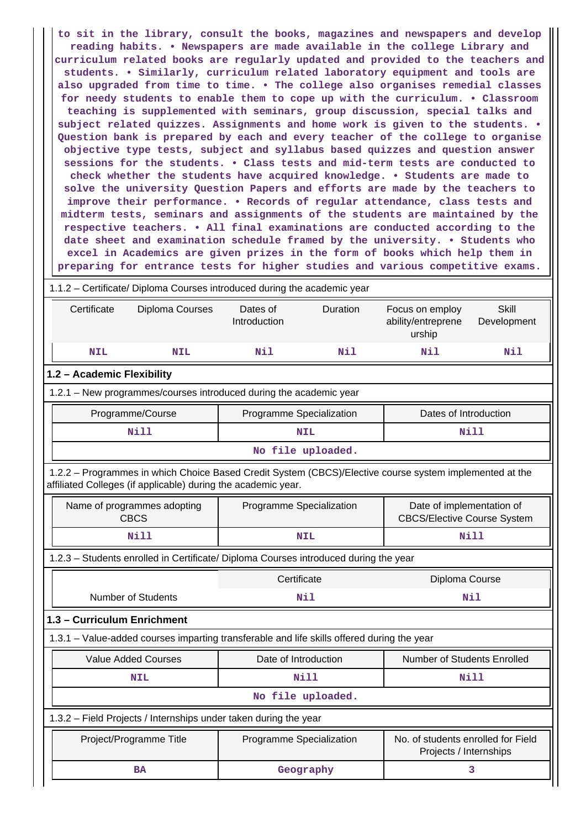**to sit in the library, consult the books, magazines and newspapers and develop reading habits. • Newspapers are made available in the college Library and curriculum related books are regularly updated and provided to the teachers and students. • Similarly, curriculum related laboratory equipment and tools are also upgraded from time to time. • The college also organises remedial classes for needy students to enable them to cope up with the curriculum. • Classroom teaching is supplemented with seminars, group discussion, special talks and subject related quizzes. Assignments and home work is given to the students. • Question bank is prepared by each and every teacher of the college to organise objective type tests, subject and syllabus based quizzes and question answer sessions for the students. • Class tests and mid-term tests are conducted to check whether the students have acquired knowledge. • Students are made to solve the university Question Papers and efforts are made by the teachers to improve their performance. • Records of regular attendance, class tests and midterm tests, seminars and assignments of the students are maintained by the respective teachers. • All final examinations are conducted according to the date sheet and examination schedule framed by the university. • Students who excel in Academics are given prizes in the form of books which help them in preparing for entrance tests for higher studies and various competitive exams.**

| 1.1.2 - Certificate/ Diploma Courses introduced during the academic year                                                                                                 |                          |                                                              |                                                                 |                             |  |  |  |  |  |  |
|--------------------------------------------------------------------------------------------------------------------------------------------------------------------------|--------------------------|--------------------------------------------------------------|-----------------------------------------------------------------|-----------------------------|--|--|--|--|--|--|
| Certificate<br>Diploma Courses                                                                                                                                           | Dates of<br>Introduction | Duration<br>Focus on employ<br>ability/entreprene            |                                                                 | <b>Skill</b><br>Development |  |  |  |  |  |  |
| <b>NIL</b><br><b>NIL</b>                                                                                                                                                 | Nil<br>Nil<br>Nil        |                                                              |                                                                 | Nil                         |  |  |  |  |  |  |
| 1.2 - Academic Flexibility                                                                                                                                               |                          |                                                              |                                                                 |                             |  |  |  |  |  |  |
| 1.2.1 - New programmes/courses introduced during the academic year                                                                                                       |                          |                                                              |                                                                 |                             |  |  |  |  |  |  |
| Programme/Course<br>Programme Specialization<br>Dates of Introduction                                                                                                    |                          |                                                              |                                                                 |                             |  |  |  |  |  |  |
| Nill                                                                                                                                                                     |                          | <b>NIL</b>                                                   |                                                                 | Nill                        |  |  |  |  |  |  |
|                                                                                                                                                                          |                          | No file uploaded.                                            |                                                                 |                             |  |  |  |  |  |  |
| 1.2.2 - Programmes in which Choice Based Credit System (CBCS)/Elective course system implemented at the<br>affiliated Colleges (if applicable) during the academic year. |                          |                                                              |                                                                 |                             |  |  |  |  |  |  |
| Name of programmes adopting<br><b>CBCS</b>                                                                                                                               | Programme Specialization |                                                              | Date of implementation of<br><b>CBCS/Elective Course System</b> |                             |  |  |  |  |  |  |
| <b>Nill</b>                                                                                                                                                              |                          | <b>NIL</b>                                                   | <b>Nill</b>                                                     |                             |  |  |  |  |  |  |
| 1.2.3 - Students enrolled in Certificate/ Diploma Courses introduced during the year                                                                                     |                          |                                                              |                                                                 |                             |  |  |  |  |  |  |
|                                                                                                                                                                          | Certificate              |                                                              | Diploma Course                                                  |                             |  |  |  |  |  |  |
| <b>Number of Students</b>                                                                                                                                                |                          | Nil                                                          | Nil                                                             |                             |  |  |  |  |  |  |
| 1.3 - Curriculum Enrichment                                                                                                                                              |                          |                                                              |                                                                 |                             |  |  |  |  |  |  |
| 1.3.1 – Value-added courses imparting transferable and life skills offered during the year                                                                               |                          |                                                              |                                                                 |                             |  |  |  |  |  |  |
| <b>Value Added Courses</b>                                                                                                                                               | Date of Introduction     |                                                              | Number of Students Enrolled                                     |                             |  |  |  |  |  |  |
| <b>NIL</b>                                                                                                                                                               |                          | Nill                                                         |                                                                 | Nill                        |  |  |  |  |  |  |
|                                                                                                                                                                          |                          | No file uploaded.                                            |                                                                 |                             |  |  |  |  |  |  |
| 1.3.2 - Field Projects / Internships under taken during the year                                                                                                         |                          |                                                              |                                                                 |                             |  |  |  |  |  |  |
| Project/Programme Title                                                                                                                                                  | Programme Specialization | No. of students enrolled for Field<br>Projects / Internships |                                                                 |                             |  |  |  |  |  |  |
| <b>BA</b>                                                                                                                                                                |                          | Geography                                                    |                                                                 | 3                           |  |  |  |  |  |  |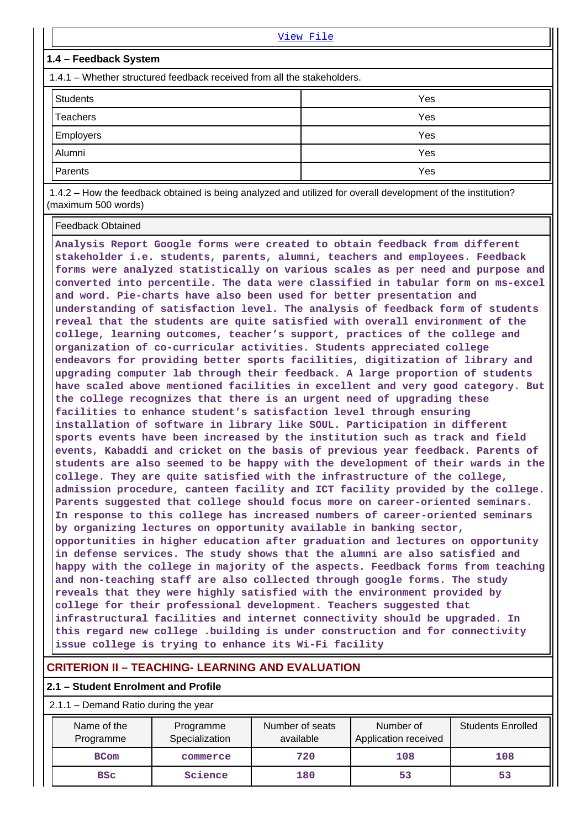| View File                                                               |     |  |  |  |  |  |  |
|-------------------------------------------------------------------------|-----|--|--|--|--|--|--|
| 1.4 - Feedback System                                                   |     |  |  |  |  |  |  |
| 1.4.1 – Whether structured feedback received from all the stakeholders. |     |  |  |  |  |  |  |
| <b>Students</b><br>Yes                                                  |     |  |  |  |  |  |  |
| Teachers                                                                | Yes |  |  |  |  |  |  |
| Employers                                                               | Yes |  |  |  |  |  |  |
| Alumni                                                                  | Yes |  |  |  |  |  |  |
| Parents                                                                 | Yes |  |  |  |  |  |  |
|                                                                         |     |  |  |  |  |  |  |

 1.4.2 – How the feedback obtained is being analyzed and utilized for overall development of the institution? (maximum 500 words)

Feedback Obtained

**Analysis Report Google forms were created to obtain feedback from different stakeholder i.e. students, parents, alumni, teachers and employees. Feedback forms were analyzed statistically on various scales as per need and purpose and converted into percentile. The data were classified in tabular form on ms-excel and word. Pie-charts have also been used for better presentation and understanding of satisfaction level. The analysis of feedback form of students reveal that the students are quite satisfied with overall environment of the college, learning outcomes, teacher's support, practices of the college and organization of co-curricular activities. Students appreciated college endeavors for providing better sports facilities, digitization of library and upgrading computer lab through their feedback. A large proportion of students have scaled above mentioned facilities in excellent and very good category. But the college recognizes that there is an urgent need of upgrading these facilities to enhance student's satisfaction level through ensuring installation of software in library like SOUL. Participation in different sports events have been increased by the institution such as track and field events, Kabaddi and cricket on the basis of previous year feedback. Parents of students are also seemed to be happy with the development of their wards in the college. They are quite satisfied with the infrastructure of the college, admission procedure, canteen facility and ICT facility provided by the college. Parents suggested that college should focus more on career-oriented seminars. In response to this college has increased numbers of career-oriented seminars by organizing lectures on opportunity available in banking sector, opportunities in higher education after graduation and lectures on opportunity in defense services. The study shows that the alumni are also satisfied and happy with the college in majority of the aspects. Feedback forms from teaching and non-teaching staff are also collected through google forms. The study reveals that they were highly satisfied with the environment provided by college for their professional development. Teachers suggested that infrastructural facilities and internet connectivity should be upgraded. In this regard new college .building is under construction and for connectivity issue college is trying to enhance its Wi-Fi facility**

# **CRITERION II – TEACHING- LEARNING AND EVALUATION**

# **2.1 – Student Enrolment and Profile**

2.1.1 – Demand Ratio during the year

| Name of the<br>Programme | Programme<br>Specialization | Number of seats<br>available | Number of<br>Application received | <b>Students Enrolled</b> |
|--------------------------|-----------------------------|------------------------------|-----------------------------------|--------------------------|
| <b>BCom</b>              | commerce                    | 720                          | 108                               | 108                      |
| <b>BSC</b>               | Science                     | 180                          | 53                                | 53                       |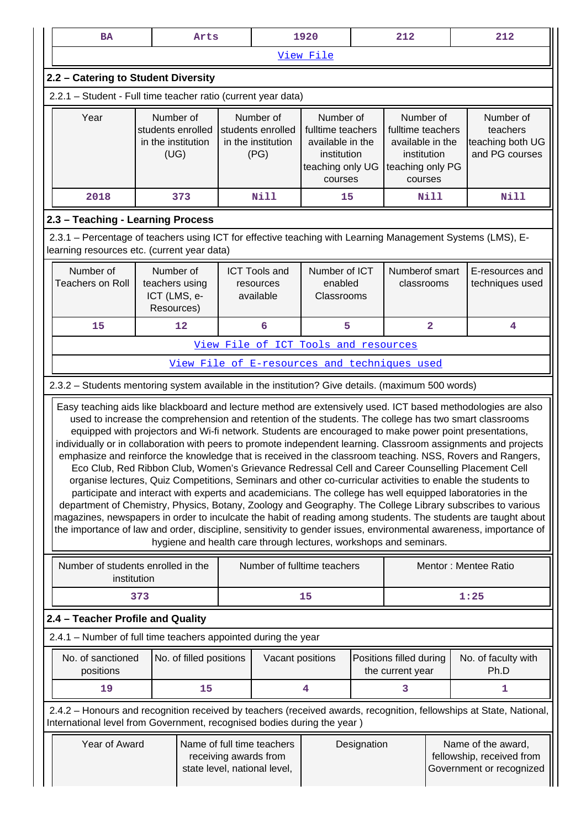|                                                    | 1920<br>212<br><b>BA</b><br>Arts                                                                                                                                                                                                                                                                                                                                                                                                                                                                                                                                                                                                                                                                                                                                                                                                                                                                                                                                                                                                                                                                                                                                                                                                                                                                                             |     |                                                              | 212 |                                                              |                                                                                                  |  |                                                                                                  |      |                                                                                                                     |
|----------------------------------------------------|------------------------------------------------------------------------------------------------------------------------------------------------------------------------------------------------------------------------------------------------------------------------------------------------------------------------------------------------------------------------------------------------------------------------------------------------------------------------------------------------------------------------------------------------------------------------------------------------------------------------------------------------------------------------------------------------------------------------------------------------------------------------------------------------------------------------------------------------------------------------------------------------------------------------------------------------------------------------------------------------------------------------------------------------------------------------------------------------------------------------------------------------------------------------------------------------------------------------------------------------------------------------------------------------------------------------------|-----|--------------------------------------------------------------|-----|--------------------------------------------------------------|--------------------------------------------------------------------------------------------------|--|--------------------------------------------------------------------------------------------------|------|---------------------------------------------------------------------------------------------------------------------|
|                                                    |                                                                                                                                                                                                                                                                                                                                                                                                                                                                                                                                                                                                                                                                                                                                                                                                                                                                                                                                                                                                                                                                                                                                                                                                                                                                                                                              |     |                                                              |     |                                                              | View File                                                                                        |  |                                                                                                  |      |                                                                                                                     |
|                                                    | 2.2 - Catering to Student Diversity                                                                                                                                                                                                                                                                                                                                                                                                                                                                                                                                                                                                                                                                                                                                                                                                                                                                                                                                                                                                                                                                                                                                                                                                                                                                                          |     |                                                              |     |                                                              |                                                                                                  |  |                                                                                                  |      |                                                                                                                     |
|                                                    | 2.2.1 - Student - Full time teacher ratio (current year data)                                                                                                                                                                                                                                                                                                                                                                                                                                                                                                                                                                                                                                                                                                                                                                                                                                                                                                                                                                                                                                                                                                                                                                                                                                                                |     |                                                              |     |                                                              |                                                                                                  |  |                                                                                                  |      |                                                                                                                     |
|                                                    | Year                                                                                                                                                                                                                                                                                                                                                                                                                                                                                                                                                                                                                                                                                                                                                                                                                                                                                                                                                                                                                                                                                                                                                                                                                                                                                                                         |     | Number of<br>students enrolled<br>in the institution<br>(UG) |     | Number of<br>students enrolled<br>in the institution<br>(PG) | Number of<br>fulltime teachers<br>available in the<br>institution<br>teaching only UG<br>courses |  | Number of<br>fulltime teachers<br>available in the<br>institution<br>teaching only PG<br>courses |      | Number of<br>teachers<br>teaching both UG<br>and PG courses                                                         |
|                                                    | 2018                                                                                                                                                                                                                                                                                                                                                                                                                                                                                                                                                                                                                                                                                                                                                                                                                                                                                                                                                                                                                                                                                                                                                                                                                                                                                                                         |     | 373                                                          |     | <b>Nill</b>                                                  | 15                                                                                               |  |                                                                                                  | Nill | <b>Nill</b>                                                                                                         |
|                                                    | 2.3 - Teaching - Learning Process                                                                                                                                                                                                                                                                                                                                                                                                                                                                                                                                                                                                                                                                                                                                                                                                                                                                                                                                                                                                                                                                                                                                                                                                                                                                                            |     |                                                              |     |                                                              |                                                                                                  |  |                                                                                                  |      |                                                                                                                     |
|                                                    | learning resources etc. (current year data)                                                                                                                                                                                                                                                                                                                                                                                                                                                                                                                                                                                                                                                                                                                                                                                                                                                                                                                                                                                                                                                                                                                                                                                                                                                                                  |     |                                                              |     |                                                              |                                                                                                  |  |                                                                                                  |      | 2.3.1 – Percentage of teachers using ICT for effective teaching with Learning Management Systems (LMS), E-          |
|                                                    | Number of<br><b>Teachers on Roll</b>                                                                                                                                                                                                                                                                                                                                                                                                                                                                                                                                                                                                                                                                                                                                                                                                                                                                                                                                                                                                                                                                                                                                                                                                                                                                                         |     | Number of<br>teachers using<br>ICT (LMS, e-<br>Resources)    |     | <b>ICT Tools and</b><br>resources<br>available               | Number of ICT<br>enabled<br>Classrooms                                                           |  | Numberof smart<br>classrooms                                                                     |      | E-resources and<br>techniques used                                                                                  |
| $\overline{\mathbf{2}}$<br>15<br>12<br>6<br>5<br>4 |                                                                                                                                                                                                                                                                                                                                                                                                                                                                                                                                                                                                                                                                                                                                                                                                                                                                                                                                                                                                                                                                                                                                                                                                                                                                                                                              |     |                                                              |     |                                                              |                                                                                                  |  |                                                                                                  |      |                                                                                                                     |
|                                                    |                                                                                                                                                                                                                                                                                                                                                                                                                                                                                                                                                                                                                                                                                                                                                                                                                                                                                                                                                                                                                                                                                                                                                                                                                                                                                                                              |     |                                                              |     |                                                              | View File of ICT Tools and resources                                                             |  |                                                                                                  |      |                                                                                                                     |
|                                                    |                                                                                                                                                                                                                                                                                                                                                                                                                                                                                                                                                                                                                                                                                                                                                                                                                                                                                                                                                                                                                                                                                                                                                                                                                                                                                                                              |     |                                                              |     |                                                              | View File of E-resources and techniques used                                                     |  |                                                                                                  |      |                                                                                                                     |
|                                                    | 2.3.2 - Students mentoring system available in the institution? Give details. (maximum 500 words)                                                                                                                                                                                                                                                                                                                                                                                                                                                                                                                                                                                                                                                                                                                                                                                                                                                                                                                                                                                                                                                                                                                                                                                                                            |     |                                                              |     |                                                              |                                                                                                  |  |                                                                                                  |      |                                                                                                                     |
|                                                    | Easy teaching aids like blackboard and lecture method are extensively used. ICT based methodologies are also<br>used to increase the comprehension and retention of the students. The college has two smart classrooms<br>equipped with projectors and Wi-fi network. Students are encouraged to make power point presentations,<br>individually or in collaboration with peers to promote independent learning. Classroom assignments and projects<br>emphasize and reinforce the knowledge that is received in the classroom teaching. NSS, Rovers and Rangers,<br>Eco Club, Red Ribbon Club, Women's Grievance Redressal Cell and Career Counselling Placement Cell<br>organise lectures, Quiz Competitions, Seminars and other co-curricular activities to enable the students to<br>participate and interact with experts and academicians. The college has well equipped laboratories in the<br>department of Chemistry, Physics, Botany, Zoology and Geography. The College Library subscribes to various<br>magazines, newspapers in order to inculcate the habit of reading among students. The students are taught about<br>the importance of law and order, discipline, sensitivity to gender issues, environmental awareness, importance of<br>hygiene and health care through lectures, workshops and seminars. |     |                                                              |     |                                                              |                                                                                                  |  |                                                                                                  |      |                                                                                                                     |
|                                                    | Number of students enrolled in the<br>institution                                                                                                                                                                                                                                                                                                                                                                                                                                                                                                                                                                                                                                                                                                                                                                                                                                                                                                                                                                                                                                                                                                                                                                                                                                                                            |     |                                                              |     |                                                              | Number of fulltime teachers                                                                      |  |                                                                                                  |      | Mentor: Mentee Ratio                                                                                                |
|                                                    |                                                                                                                                                                                                                                                                                                                                                                                                                                                                                                                                                                                                                                                                                                                                                                                                                                                                                                                                                                                                                                                                                                                                                                                                                                                                                                                              | 373 |                                                              |     |                                                              | 15                                                                                               |  |                                                                                                  |      | 1:25                                                                                                                |
|                                                    | 2.4 - Teacher Profile and Quality                                                                                                                                                                                                                                                                                                                                                                                                                                                                                                                                                                                                                                                                                                                                                                                                                                                                                                                                                                                                                                                                                                                                                                                                                                                                                            |     |                                                              |     |                                                              |                                                                                                  |  |                                                                                                  |      |                                                                                                                     |
|                                                    | 2.4.1 – Number of full time teachers appointed during the year                                                                                                                                                                                                                                                                                                                                                                                                                                                                                                                                                                                                                                                                                                                                                                                                                                                                                                                                                                                                                                                                                                                                                                                                                                                               |     |                                                              |     |                                                              |                                                                                                  |  |                                                                                                  |      |                                                                                                                     |
|                                                    | No. of sanctioned<br>positions                                                                                                                                                                                                                                                                                                                                                                                                                                                                                                                                                                                                                                                                                                                                                                                                                                                                                                                                                                                                                                                                                                                                                                                                                                                                                               |     | No. of filled positions                                      |     | Vacant positions                                             |                                                                                                  |  | Positions filled during<br>the current year                                                      |      | No. of faculty with<br>Ph.D                                                                                         |
|                                                    | 19                                                                                                                                                                                                                                                                                                                                                                                                                                                                                                                                                                                                                                                                                                                                                                                                                                                                                                                                                                                                                                                                                                                                                                                                                                                                                                                           |     | 15                                                           |     |                                                              | 4                                                                                                |  | 3                                                                                                |      | 1                                                                                                                   |
|                                                    |                                                                                                                                                                                                                                                                                                                                                                                                                                                                                                                                                                                                                                                                                                                                                                                                                                                                                                                                                                                                                                                                                                                                                                                                                                                                                                                              |     |                                                              |     |                                                              |                                                                                                  |  |                                                                                                  |      | 2.4.2 - Honours and recognition received by teachers (received awards, recognition, fellowships at State, National, |
|                                                    | International level from Government, recognised bodies during the year)<br>Year of Award<br>Name of full time teachers<br>Designation<br>Name of the award,<br>fellowship, received from<br>receiving awards from<br>Government or recognized<br>state level, national level,                                                                                                                                                                                                                                                                                                                                                                                                                                                                                                                                                                                                                                                                                                                                                                                                                                                                                                                                                                                                                                                |     |                                                              |     |                                                              |                                                                                                  |  |                                                                                                  |      |                                                                                                                     |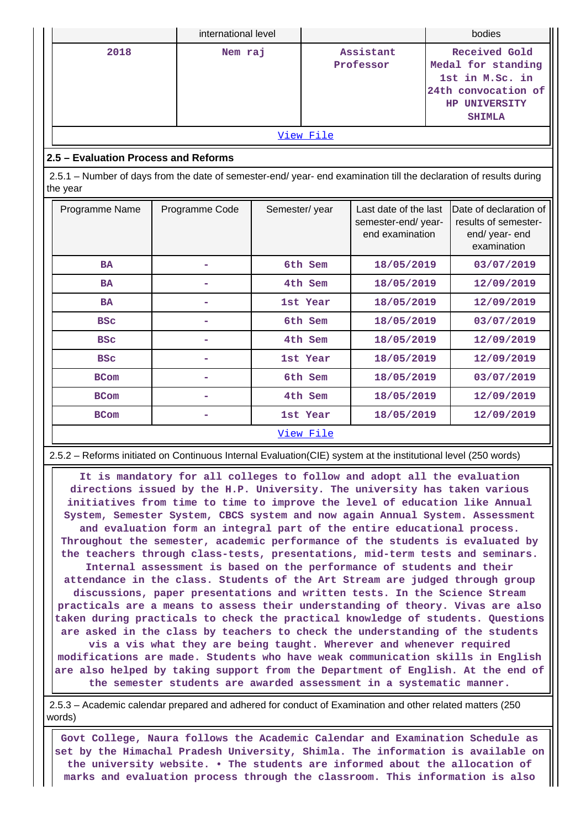|                                                                                                                                |                | international level |                        |                                                                |                                                                                                                 | bodies                                                                        |  |
|--------------------------------------------------------------------------------------------------------------------------------|----------------|---------------------|------------------------|----------------------------------------------------------------|-----------------------------------------------------------------------------------------------------------------|-------------------------------------------------------------------------------|--|
| 2018<br>Nem raj                                                                                                                |                |                     | Assistant<br>Professor |                                                                | Received Gold<br>Medal for standing<br>1st in M.Sc. in<br>24th convocation of<br>HP UNIVERSITY<br><b>SHIMLA</b> |                                                                               |  |
|                                                                                                                                |                |                     | View File              |                                                                |                                                                                                                 |                                                                               |  |
| 2.5 - Evaluation Process and Reforms                                                                                           |                |                     |                        |                                                                |                                                                                                                 |                                                                               |  |
| 2.5.1 – Number of days from the date of semester-end/ year- end examination till the declaration of results during<br>the year |                |                     |                        |                                                                |                                                                                                                 |                                                                               |  |
| Programme Name                                                                                                                 | Programme Code | Semester/year       |                        | Last date of the last<br>semester-end/year-<br>end examination |                                                                                                                 | Date of declaration of<br>results of semester-<br>end/year-end<br>examination |  |
| <b>BA</b>                                                                                                                      |                |                     | 6th Sem                | 18/05/2019                                                     |                                                                                                                 | 03/07/2019                                                                    |  |
| <b>BA</b>                                                                                                                      |                |                     | 4th Sem                | 18/05/2019                                                     |                                                                                                                 | 12/09/2019                                                                    |  |
| <b>BA</b>                                                                                                                      |                |                     | 1st Year               | 18/05/2019                                                     |                                                                                                                 | 12/09/2019                                                                    |  |
| <b>BSC</b>                                                                                                                     |                |                     | 6th Sem                | 18/05/2019                                                     |                                                                                                                 | 03/07/2019                                                                    |  |
| <b>BSC</b>                                                                                                                     |                |                     | 4th Sem                | 18/05/2019                                                     |                                                                                                                 | 12/09/2019                                                                    |  |
| <b>BSC</b>                                                                                                                     |                |                     | 1st Year               | 18/05/2019                                                     |                                                                                                                 | 12/09/2019                                                                    |  |
| <b>BCom</b>                                                                                                                    |                |                     | 6th Sem                | 18/05/2019                                                     |                                                                                                                 | 03/07/2019                                                                    |  |
| <b>BCom</b>                                                                                                                    |                |                     | 4th Sem                | 18/05/2019                                                     |                                                                                                                 | 12/09/2019                                                                    |  |
| <b>BCom</b>                                                                                                                    |                |                     | 1st Year               | 18/05/2019                                                     |                                                                                                                 | 12/09/2019                                                                    |  |
| View File                                                                                                                      |                |                     |                        |                                                                |                                                                                                                 |                                                                               |  |

2.5.2 – Reforms initiated on Continuous Internal Evaluation(CIE) system at the institutional level (250 words)

 **It is mandatory for all colleges to follow and adopt all the evaluation directions issued by the H.P. University. The university has taken various initiatives from time to time to improve the level of education like Annual System, Semester System, CBCS system and now again Annual System. Assessment and evaluation form an integral part of the entire educational process. Throughout the semester, academic performance of the students is evaluated by the teachers through class-tests, presentations, mid-term tests and seminars. Internal assessment is based on the performance of students and their attendance in the class. Students of the Art Stream are judged through group discussions, paper presentations and written tests. In the Science Stream practicals are a means to assess their understanding of theory. Vivas are also taken during practicals to check the practical knowledge of students. Questions are asked in the class by teachers to check the understanding of the students vis a vis what they are being taught. Wherever and whenever required modifications are made. Students who have weak communication skills in English are also helped by taking support from the Department of English. At the end of the semester students are awarded assessment in a systematic manner.**

 2.5.3 – Academic calendar prepared and adhered for conduct of Examination and other related matters (250 words)

 **Govt College, Naura follows the Academic Calendar and Examination Schedule as set by the Himachal Pradesh University, Shimla. The information is available on the university website. • The students are informed about the allocation of marks and evaluation process through the classroom. This information is also**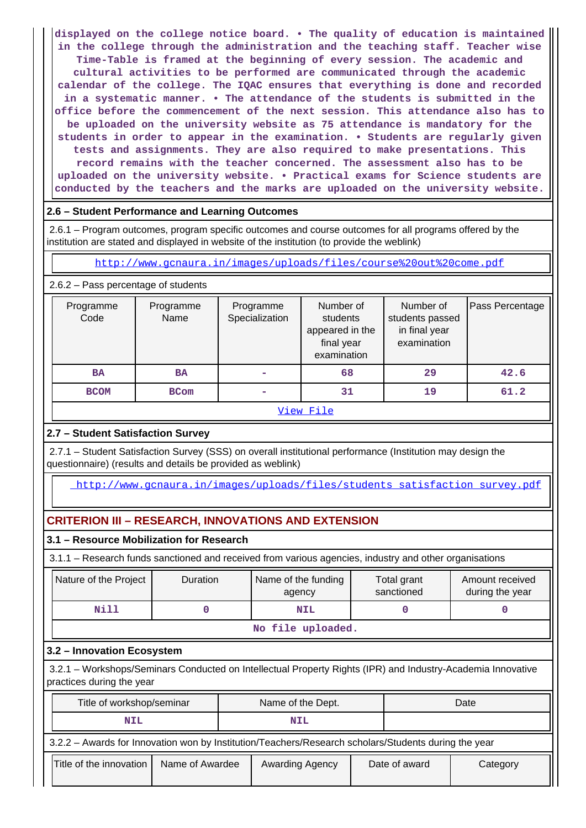**displayed on the college notice board. • The quality of education is maintained in the college through the administration and the teaching staff. Teacher wise Time-Table is framed at the beginning of every session. The academic and cultural activities to be performed are communicated through the academic calendar of the college. The IQAC ensures that everything is done and recorded in a systematic manner. • The attendance of the students is submitted in the office before the commencement of the next session. This attendance also has to be uploaded on the university website as 75 attendance is mandatory for the students in order to appear in the examination. • Students are regularly given tests and assignments. They are also required to make presentations. This record remains with the teacher concerned. The assessment also has to be uploaded on the university website. • Practical exams for Science students are conducted by the teachers and the marks are uploaded on the university website.**

# **2.6 – Student Performance and Learning Outcomes**

 2.6.1 – Program outcomes, program specific outcomes and course outcomes for all programs offered by the institution are stated and displayed in website of the institution (to provide the weblink)

<http://www.gcnaura.in/images/uploads/files/course%20out%20come.pdf>

2.6.2 – Pass percentage of students

| Programme<br>Code | Programme<br>Name | Programme<br>Specialization | Number of<br>students<br>appeared in the<br>final year<br>examination | Number of<br>students passed<br>in final year<br>examination | Pass Percentage |  |
|-------------------|-------------------|-----------------------------|-----------------------------------------------------------------------|--------------------------------------------------------------|-----------------|--|
| <b>BA</b>         | <b>BA</b>         |                             | 68                                                                    | 29                                                           | 42.6            |  |
| <b>BCOM</b>       | <b>BCom</b>       |                             | 31                                                                    | 19                                                           | 61.2            |  |
|                   | View File         |                             |                                                                       |                                                              |                 |  |

# **2.7 – Student Satisfaction Survey**

 2.7.1 – Student Satisfaction Survey (SSS) on overall institutional performance (Institution may design the questionnaire) (results and details be provided as weblink)

[http://www.gcnaura.in/images/uploads/files/students\\_satisfaction\\_survey.pdf](http://www.gcnaura.in/images/uploads/files/students_satisfaction_survey.pdf)

# **CRITERION III – RESEARCH, INNOVATIONS AND EXTENSION**

# **3.1 – Resource Mobilization for Research**

3.1.1 – Research funds sanctioned and received from various agencies, industry and other organisations

| Nature of the Project      | <b>Duration</b>   | Name of the funding<br>agency                                                                       | Total grant<br>sanctioned | Amount received<br>during the year |  |  |  |
|----------------------------|-------------------|-----------------------------------------------------------------------------------------------------|---------------------------|------------------------------------|--|--|--|
| Nill                       |                   | <b>NIL</b>                                                                                          |                           |                                    |  |  |  |
|                            | No file uploaded. |                                                                                                     |                           |                                    |  |  |  |
| 3.2 - Innovation Ecosystem |                   |                                                                                                     |                           |                                    |  |  |  |
| 221                        |                   | Markebone Cominate Conducted on Intellectual Dreporty Bights (IDD) and Industry Academia Innovative |                           |                                    |  |  |  |

 3.2.1 – Workshops/Seminars Conducted on Intellectual Property Rights (IPR) and Industry-Academia Innovative practices during the year

| Title of workshop/seminar                                                                            |                 | Name of the Dept. |                 |  | Date          |          |  |
|------------------------------------------------------------------------------------------------------|-----------------|-------------------|-----------------|--|---------------|----------|--|
| <b>NIL</b>                                                                                           |                 | <b>NIL</b>        |                 |  |               |          |  |
| 3.2.2 - Awards for Innovation won by Institution/Teachers/Research scholars/Students during the year |                 |                   |                 |  |               |          |  |
| Title of the innovation                                                                              | Name of Awardee |                   | Awarding Agency |  | Date of award | Category |  |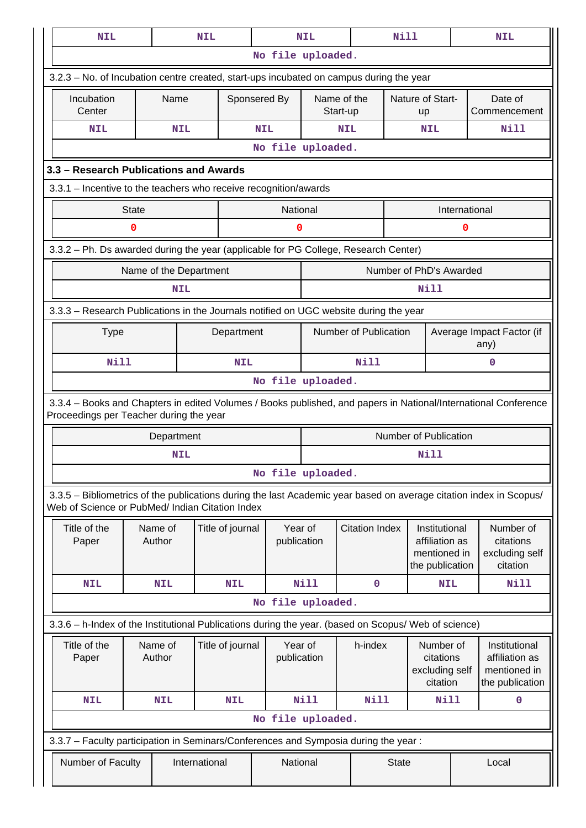| <b>NIL</b>                                                                                                                                                            |                                                                                                                | <b>NIL</b>    |                  |                        | <b>NIL</b>              |                       | <b>Nill</b>                   |                                                                    |               | <b>NIL</b>                                                         |
|-----------------------------------------------------------------------------------------------------------------------------------------------------------------------|----------------------------------------------------------------------------------------------------------------|---------------|------------------|------------------------|-------------------------|-----------------------|-------------------------------|--------------------------------------------------------------------|---------------|--------------------------------------------------------------------|
|                                                                                                                                                                       |                                                                                                                |               |                  | No file uploaded.      |                         |                       |                               |                                                                    |               |                                                                    |
| 3.2.3 – No. of Incubation centre created, start-ups incubated on campus during the year                                                                               |                                                                                                                |               |                  |                        |                         |                       |                               |                                                                    |               |                                                                    |
| Incubation<br>Center                                                                                                                                                  | Name                                                                                                           |               | Sponsered By     |                        | Name of the<br>Start-up |                       | Nature of Start-<br><b>up</b> |                                                                    |               | Date of<br>Commencement                                            |
| <b>NIL</b>                                                                                                                                                            |                                                                                                                | <b>NIL</b>    |                  | <b>NIL</b>             |                         | <b>NIL</b>            |                               | <b>NIL</b>                                                         |               | Nill                                                               |
|                                                                                                                                                                       |                                                                                                                |               |                  | No file uploaded.      |                         |                       |                               |                                                                    |               |                                                                    |
| 3.3 - Research Publications and Awards                                                                                                                                |                                                                                                                |               |                  |                        |                         |                       |                               |                                                                    |               |                                                                    |
| 3.3.1 - Incentive to the teachers who receive recognition/awards                                                                                                      |                                                                                                                |               |                  |                        |                         |                       |                               |                                                                    |               |                                                                    |
|                                                                                                                                                                       | <b>State</b>                                                                                                   |               |                  | National               |                         |                       |                               |                                                                    | International |                                                                    |
|                                                                                                                                                                       | $\mathbf 0$                                                                                                    |               |                  | 0                      |                         |                       |                               |                                                                    | 0             |                                                                    |
| 3.3.2 - Ph. Ds awarded during the year (applicable for PG College, Research Center)                                                                                   |                                                                                                                |               |                  |                        |                         |                       |                               |                                                                    |               |                                                                    |
|                                                                                                                                                                       | Name of the Department                                                                                         |               |                  |                        |                         |                       | Number of PhD's Awarded       |                                                                    |               |                                                                    |
|                                                                                                                                                                       |                                                                                                                | <b>NIL</b>    |                  |                        |                         |                       |                               | Nill                                                               |               |                                                                    |
|                                                                                                                                                                       |                                                                                                                |               |                  |                        |                         |                       |                               |                                                                    |               |                                                                    |
|                                                                                                                                                                       | 3.3.3 - Research Publications in the Journals notified on UGC website during the year<br>Number of Publication |               |                  |                        |                         |                       |                               |                                                                    |               |                                                                    |
| <b>Type</b>                                                                                                                                                           |                                                                                                                |               | Department       |                        |                         |                       |                               | Average Impact Factor (if<br>any)                                  |               |                                                                    |
| Nill                                                                                                                                                                  |                                                                                                                |               | <b>NIL</b>       |                        |                         | Nill                  |                               |                                                                    | $\mathbf 0$   |                                                                    |
| No file uploaded.                                                                                                                                                     |                                                                                                                |               |                  |                        |                         |                       |                               |                                                                    |               |                                                                    |
| 3.3.4 – Books and Chapters in edited Volumes / Books published, and papers in National/International Conference<br>Proceedings per Teacher during the year            |                                                                                                                |               |                  |                        |                         |                       |                               |                                                                    |               |                                                                    |
|                                                                                                                                                                       | Department                                                                                                     |               |                  |                        |                         |                       | <b>Number of Publication</b>  |                                                                    |               |                                                                    |
|                                                                                                                                                                       |                                                                                                                | <b>NIL</b>    |                  |                        |                         |                       |                               | Nill                                                               |               |                                                                    |
|                                                                                                                                                                       |                                                                                                                |               |                  | No file uploaded.      |                         |                       |                               |                                                                    |               |                                                                    |
| 3.3.5 - Bibliometrics of the publications during the last Academic year based on average citation index in Scopus/<br>Web of Science or PubMed/ Indian Citation Index |                                                                                                                |               |                  |                        |                         |                       |                               |                                                                    |               |                                                                    |
| Title of the<br>Paper                                                                                                                                                 | Name of<br>Author                                                                                              |               | Title of journal | Year of<br>publication |                         | <b>Citation Index</b> |                               | Institutional<br>affiliation as<br>mentioned in<br>the publication |               | Number of<br>citations<br>excluding self<br>citation               |
| <b>NIL</b>                                                                                                                                                            | <b>NIL</b>                                                                                                     |               | <b>NIL</b>       |                        | Nill                    | 0                     |                               | <b>NIL</b>                                                         |               | Nill                                                               |
|                                                                                                                                                                       |                                                                                                                |               |                  | No file uploaded.      |                         |                       |                               |                                                                    |               |                                                                    |
| 3.3.6 - h-Index of the Institutional Publications during the year. (based on Scopus/ Web of science)                                                                  |                                                                                                                |               |                  |                        |                         |                       |                               |                                                                    |               |                                                                    |
| Title of the<br>Paper                                                                                                                                                 | Name of<br>Author                                                                                              |               | Title of journal |                        | Year of<br>publication  | h-index               |                               | Number of<br>citations<br>excluding self<br>citation               |               | Institutional<br>affiliation as<br>mentioned in<br>the publication |
| <b>NIL</b>                                                                                                                                                            | <b>NIL</b>                                                                                                     |               | <b>NIL</b>       |                        | <b>Nill</b>             | <b>Nill</b>           |                               | <b>Nill</b>                                                        |               | 0                                                                  |
|                                                                                                                                                                       |                                                                                                                |               |                  | No file uploaded.      |                         |                       |                               |                                                                    |               |                                                                    |
| 3.3.7 - Faculty participation in Seminars/Conferences and Symposia during the year:                                                                                   |                                                                                                                |               |                  |                        |                         |                       |                               |                                                                    |               |                                                                    |
| Number of Faculty                                                                                                                                                     |                                                                                                                | International |                  | National               |                         |                       | <b>State</b>                  |                                                                    |               | Local                                                              |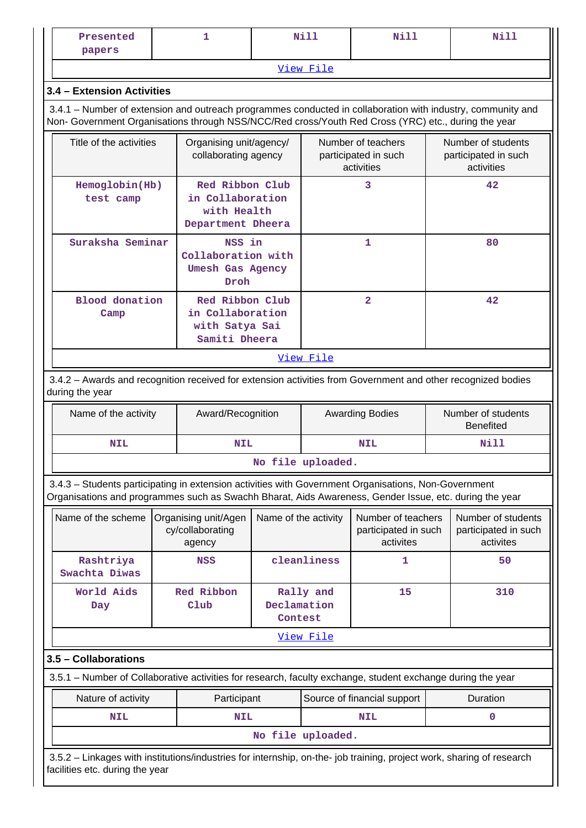| Presented<br>papers                                                                                                                                                                                                |                                                                                     | 1                                                  |                        | <b>Nill</b>                                              | <b>Nill</b>                                             | Nill                                                     |                                                                                                                                                          |  |  |  |  |  |
|--------------------------------------------------------------------------------------------------------------------------------------------------------------------------------------------------------------------|-------------------------------------------------------------------------------------|----------------------------------------------------|------------------------|----------------------------------------------------------|---------------------------------------------------------|----------------------------------------------------------|----------------------------------------------------------------------------------------------------------------------------------------------------------|--|--|--|--|--|
|                                                                                                                                                                                                                    |                                                                                     |                                                    |                        | View File                                                |                                                         |                                                          |                                                                                                                                                          |  |  |  |  |  |
| 3.4 - Extension Activities                                                                                                                                                                                         |                                                                                     |                                                    |                        |                                                          |                                                         |                                                          |                                                                                                                                                          |  |  |  |  |  |
| 3.4.1 – Number of extension and outreach programmes conducted in collaboration with industry, community and<br>Non- Government Organisations through NSS/NCC/Red cross/Youth Red Cross (YRC) etc., during the year |                                                                                     |                                                    |                        |                                                          |                                                         |                                                          |                                                                                                                                                          |  |  |  |  |  |
| Title of the activities                                                                                                                                                                                            |                                                                                     | Organising unit/agency/<br>collaborating agency    |                        | Number of teachers<br>participated in such<br>activities |                                                         | Number of students<br>participated in such<br>activities |                                                                                                                                                          |  |  |  |  |  |
| Red Ribbon Club<br>Hemoglobin(Hb)<br>in Collaboration<br>test camp<br>with Health<br>Department Dheera                                                                                                             |                                                                                     |                                                    |                        | 3                                                        |                                                         | 42                                                       |                                                                                                                                                          |  |  |  |  |  |
|                                                                                                                                                                                                                    | Suraksha Seminar<br>NSS in<br>Collaboration with<br><b>Umesh Gas Agency</b><br>Droh |                                                    |                        |                                                          | $\mathbf{1}$                                            |                                                          | 80                                                                                                                                                       |  |  |  |  |  |
| Blood donation<br>Red Ribbon Club<br>in Collaboration<br>Camp<br>with Satya Sai<br>Samiti Dheera                                                                                                                   |                                                                                     |                                                    |                        | $\overline{2}$                                           |                                                         | 42                                                       |                                                                                                                                                          |  |  |  |  |  |
| View File                                                                                                                                                                                                          |                                                                                     |                                                    |                        |                                                          |                                                         |                                                          |                                                                                                                                                          |  |  |  |  |  |
| 3.4.2 - Awards and recognition received for extension activities from Government and other recognized bodies<br>during the year                                                                                    |                                                                                     |                                                    |                        |                                                          |                                                         |                                                          |                                                                                                                                                          |  |  |  |  |  |
| Name of the activity                                                                                                                                                                                               |                                                                                     | Award/Recognition                                  |                        |                                                          | <b>Awarding Bodies</b>                                  |                                                          | Number of students<br><b>Benefited</b>                                                                                                                   |  |  |  |  |  |
| <b>NIL</b>                                                                                                                                                                                                         |                                                                                     | <b>NIL</b>                                         |                        |                                                          | <b>NIL</b>                                              |                                                          | Nill                                                                                                                                                     |  |  |  |  |  |
|                                                                                                                                                                                                                    |                                                                                     |                                                    |                        | No file uploaded.                                        |                                                         |                                                          |                                                                                                                                                          |  |  |  |  |  |
| 3.4.3 - Students participating in extension activities with Government Organisations, Non-Government<br>Organisations and programmes such as Swachh Bharat, Aids Awareness, Gender Issue, etc. during the year     |                                                                                     |                                                    |                        |                                                          |                                                         |                                                          |                                                                                                                                                          |  |  |  |  |  |
| Name of the scheme                                                                                                                                                                                                 |                                                                                     | Organising unit/Agen<br>cy/collaborating<br>agency | Name of the activity   |                                                          | Number of teachers<br>participated in such<br>activites |                                                          | Number of students<br>participated in such<br>activites                                                                                                  |  |  |  |  |  |
| Rashtriya<br>Swachta Diwas                                                                                                                                                                                         |                                                                                     | <b>NSS</b>                                         |                        | cleanliness                                              | 1                                                       |                                                          | 50                                                                                                                                                       |  |  |  |  |  |
| World Aids<br>Day                                                                                                                                                                                                  |                                                                                     | Red Ribbon<br>Club                                 | Declamation<br>Contest | Rally and                                                | 15                                                      |                                                          | 310                                                                                                                                                      |  |  |  |  |  |
|                                                                                                                                                                                                                    |                                                                                     |                                                    |                        | View File                                                |                                                         |                                                          |                                                                                                                                                          |  |  |  |  |  |
| 3.5 - Collaborations                                                                                                                                                                                               |                                                                                     |                                                    |                        |                                                          |                                                         |                                                          |                                                                                                                                                          |  |  |  |  |  |
| 3.5.1 – Number of Collaborative activities for research, faculty exchange, student exchange during the year                                                                                                        |                                                                                     |                                                    |                        |                                                          |                                                         |                                                          |                                                                                                                                                          |  |  |  |  |  |
| Nature of activity                                                                                                                                                                                                 |                                                                                     | Participant                                        |                        |                                                          | Source of financial support                             |                                                          | Duration                                                                                                                                                 |  |  |  |  |  |
| <b>NIL</b>                                                                                                                                                                                                         |                                                                                     | <b>NIL</b>                                         |                        |                                                          | <b>NIL</b>                                              |                                                          | 0                                                                                                                                                        |  |  |  |  |  |
|                                                                                                                                                                                                                    |                                                                                     |                                                    |                        | No file uploaded.                                        |                                                         |                                                          |                                                                                                                                                          |  |  |  |  |  |
|                                                                                                                                                                                                                    |                                                                                     |                                                    |                        |                                                          |                                                         |                                                          | 3.5.2 - Linkages with institutions/industries for internship, on-the- job training, project work, sharing of research<br>facilities etc. during the year |  |  |  |  |  |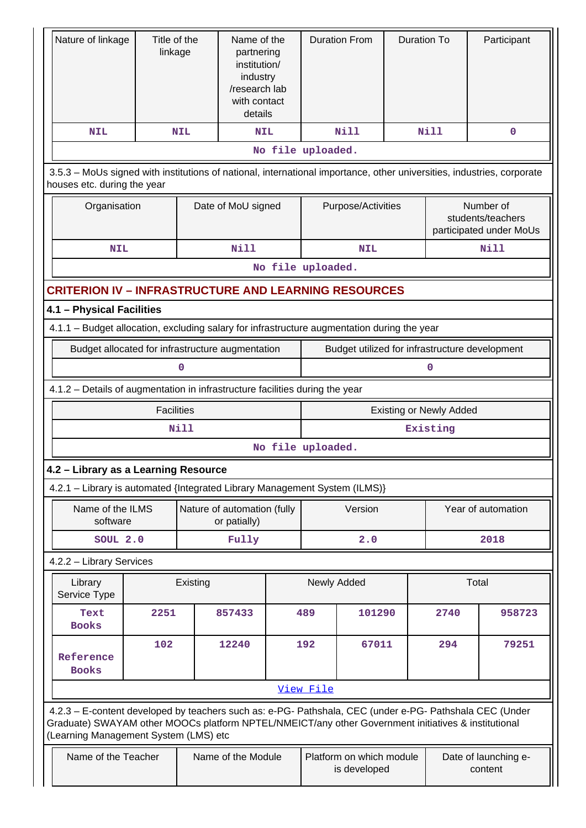| Nature of linkage                                                                           | Title of the<br>linkage                                                                                                                                                                                                                                 |             | Name of the<br>partnering<br>institution/<br>industry<br>/research lab<br>with contact<br>details |                   |                                                | <b>Duration From</b> | <b>Duration To</b> |                                 | Participant                                                                                                            |
|---------------------------------------------------------------------------------------------|---------------------------------------------------------------------------------------------------------------------------------------------------------------------------------------------------------------------------------------------------------|-------------|---------------------------------------------------------------------------------------------------|-------------------|------------------------------------------------|----------------------|--------------------|---------------------------------|------------------------------------------------------------------------------------------------------------------------|
| <b>NIL</b>                                                                                  |                                                                                                                                                                                                                                                         | <b>NIL</b>  | <b>NIL</b>                                                                                        |                   |                                                | <b>Nill</b>          |                    | <b>Nill</b>                     | 0                                                                                                                      |
|                                                                                             |                                                                                                                                                                                                                                                         |             |                                                                                                   | No file uploaded. |                                                |                      |                    |                                 |                                                                                                                        |
| houses etc. during the year                                                                 |                                                                                                                                                                                                                                                         |             |                                                                                                   |                   |                                                |                      |                    |                                 | 3.5.3 – MoUs signed with institutions of national, international importance, other universities, industries, corporate |
| Organisation                                                                                |                                                                                                                                                                                                                                                         |             | Date of MoU signed                                                                                |                   |                                                | Purpose/Activities   |                    |                                 | Number of<br>students/teachers<br>participated under MoUs                                                              |
| <b>NIL</b>                                                                                  |                                                                                                                                                                                                                                                         |             | <b>Nill</b>                                                                                       |                   |                                                | <b>NIL</b>           |                    |                                 | Nill                                                                                                                   |
|                                                                                             |                                                                                                                                                                                                                                                         |             |                                                                                                   | No file uploaded. |                                                |                      |                    |                                 |                                                                                                                        |
| <b>CRITERION IV - INFRASTRUCTURE AND LEARNING RESOURCES</b>                                 |                                                                                                                                                                                                                                                         |             |                                                                                                   |                   |                                                |                      |                    |                                 |                                                                                                                        |
| 4.1 - Physical Facilities                                                                   |                                                                                                                                                                                                                                                         |             |                                                                                                   |                   |                                                |                      |                    |                                 |                                                                                                                        |
| 4.1.1 - Budget allocation, excluding salary for infrastructure augmentation during the year |                                                                                                                                                                                                                                                         |             |                                                                                                   |                   |                                                |                      |                    |                                 |                                                                                                                        |
| Budget allocated for infrastructure augmentation                                            |                                                                                                                                                                                                                                                         |             |                                                                                                   |                   | Budget utilized for infrastructure development |                      |                    |                                 |                                                                                                                        |
| 0                                                                                           |                                                                                                                                                                                                                                                         |             |                                                                                                   |                   | 0                                              |                      |                    |                                 |                                                                                                                        |
| 4.1.2 - Details of augmentation in infrastructure facilities during the year                |                                                                                                                                                                                                                                                         |             |                                                                                                   |                   |                                                |                      |                    |                                 |                                                                                                                        |
|                                                                                             | <b>Facilities</b><br><b>Existing or Newly Added</b>                                                                                                                                                                                                     |             |                                                                                                   |                   |                                                |                      |                    |                                 |                                                                                                                        |
|                                                                                             |                                                                                                                                                                                                                                                         | <b>Nill</b> |                                                                                                   |                   |                                                |                      |                    | Existing                        |                                                                                                                        |
|                                                                                             |                                                                                                                                                                                                                                                         |             |                                                                                                   | No file uploaded. |                                                |                      |                    |                                 |                                                                                                                        |
| 4.2 - Library as a Learning Resource                                                        |                                                                                                                                                                                                                                                         |             |                                                                                                   |                   |                                                |                      |                    |                                 |                                                                                                                        |
| 4.2.1 - Library is automated {Integrated Library Management System (ILMS)}                  |                                                                                                                                                                                                                                                         |             |                                                                                                   |                   |                                                |                      |                    |                                 |                                                                                                                        |
| Name of the ILMS<br>software                                                                |                                                                                                                                                                                                                                                         |             | Nature of automation (fully<br>or patially)                                                       |                   |                                                | Version              |                    | Year of automation              |                                                                                                                        |
| SOUL 2.0                                                                                    |                                                                                                                                                                                                                                                         |             | Fully                                                                                             |                   |                                                | 2.0                  |                    |                                 | 2018                                                                                                                   |
| 4.2.2 - Library Services                                                                    |                                                                                                                                                                                                                                                         |             |                                                                                                   |                   |                                                |                      |                    |                                 |                                                                                                                        |
| Library<br>Service Type                                                                     |                                                                                                                                                                                                                                                         | Existing    |                                                                                                   |                   | Newly Added                                    |                      |                    |                                 | Total                                                                                                                  |
| Text<br><b>Books</b>                                                                        | 2251                                                                                                                                                                                                                                                    |             | 857433                                                                                            |                   | 489                                            | 101290               |                    | 2740                            | 958723                                                                                                                 |
| Reference<br><b>Books</b>                                                                   | 102                                                                                                                                                                                                                                                     |             | 12240                                                                                             | 192               |                                                | 67011                |                    | 294                             | 79251                                                                                                                  |
|                                                                                             |                                                                                                                                                                                                                                                         |             |                                                                                                   |                   | View File                                      |                      |                    |                                 |                                                                                                                        |
|                                                                                             | 4.2.3 - E-content developed by teachers such as: e-PG- Pathshala, CEC (under e-PG- Pathshala CEC (Under<br>Graduate) SWAYAM other MOOCs platform NPTEL/NMEICT/any other Government initiatives & institutional<br>(Learning Management System (LMS) etc |             |                                                                                                   |                   |                                                |                      |                    |                                 |                                                                                                                        |
| Name of the Teacher                                                                         |                                                                                                                                                                                                                                                         |             | Name of the Module                                                                                |                   | Platform on which module<br>is developed       |                      |                    | Date of launching e-<br>content |                                                                                                                        |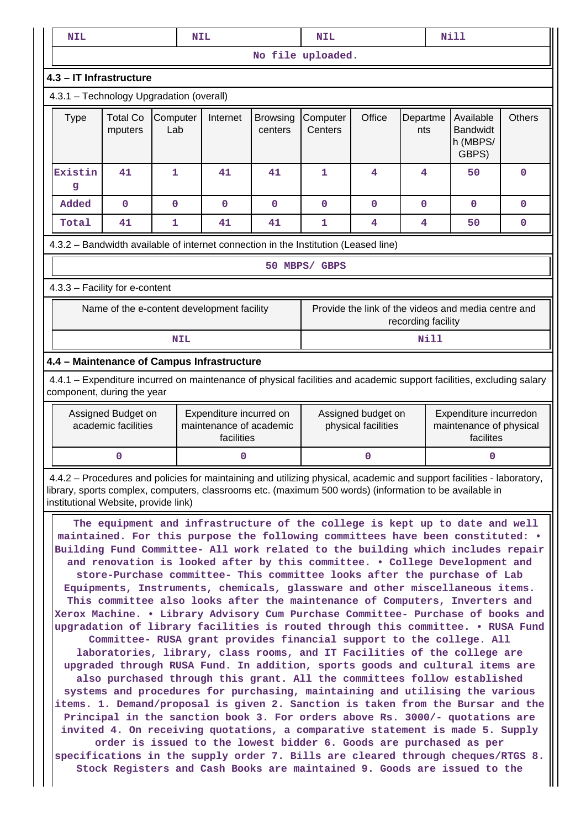|                                                                                                                         | <b>Nill</b><br><b>NIL</b><br><b>NIL</b><br><b>NIL</b>                                                                                                                                                                                                                                                                                                                                                                                                                                                                                                                                                                                                                                                                                                                                                                                                                                                                                                                                                                                                                                                                                                                                                                                                                                                                                                                                                                                                                                                                                                                                                                                                                             |                                           |                 |                                                                                                                                                                                                                                  |                            |                                           |             |                 |                                                                |    |               |
|-------------------------------------------------------------------------------------------------------------------------|-----------------------------------------------------------------------------------------------------------------------------------------------------------------------------------------------------------------------------------------------------------------------------------------------------------------------------------------------------------------------------------------------------------------------------------------------------------------------------------------------------------------------------------------------------------------------------------------------------------------------------------------------------------------------------------------------------------------------------------------------------------------------------------------------------------------------------------------------------------------------------------------------------------------------------------------------------------------------------------------------------------------------------------------------------------------------------------------------------------------------------------------------------------------------------------------------------------------------------------------------------------------------------------------------------------------------------------------------------------------------------------------------------------------------------------------------------------------------------------------------------------------------------------------------------------------------------------------------------------------------------------------------------------------------------------|-------------------------------------------|-----------------|----------------------------------------------------------------------------------------------------------------------------------------------------------------------------------------------------------------------------------|----------------------------|-------------------------------------------|-------------|-----------------|----------------------------------------------------------------|----|---------------|
|                                                                                                                         |                                                                                                                                                                                                                                                                                                                                                                                                                                                                                                                                                                                                                                                                                                                                                                                                                                                                                                                                                                                                                                                                                                                                                                                                                                                                                                                                                                                                                                                                                                                                                                                                                                                                                   |                                           |                 |                                                                                                                                                                                                                                  |                            | No file uploaded.                         |             |                 |                                                                |    |               |
|                                                                                                                         |                                                                                                                                                                                                                                                                                                                                                                                                                                                                                                                                                                                                                                                                                                                                                                                                                                                                                                                                                                                                                                                                                                                                                                                                                                                                                                                                                                                                                                                                                                                                                                                                                                                                                   | 4.3 - IT Infrastructure                   |                 |                                                                                                                                                                                                                                  |                            |                                           |             |                 |                                                                |    |               |
|                                                                                                                         |                                                                                                                                                                                                                                                                                                                                                                                                                                                                                                                                                                                                                                                                                                                                                                                                                                                                                                                                                                                                                                                                                                                                                                                                                                                                                                                                                                                                                                                                                                                                                                                                                                                                                   | 4.3.1 - Technology Upgradation (overall)  |                 |                                                                                                                                                                                                                                  |                            |                                           |             |                 |                                                                |    |               |
|                                                                                                                         | <b>Type</b>                                                                                                                                                                                                                                                                                                                                                                                                                                                                                                                                                                                                                                                                                                                                                                                                                                                                                                                                                                                                                                                                                                                                                                                                                                                                                                                                                                                                                                                                                                                                                                                                                                                                       | <b>Total Co</b><br>mputers                | Computer<br>Lab | Internet                                                                                                                                                                                                                         | <b>Browsing</b><br>centers | Computer<br>Centers                       | Office      | Departme<br>nts | Available<br><b>Bandwidt</b><br>h (MBPS/<br>GBPS)              |    | <b>Others</b> |
|                                                                                                                         | Existin<br>g                                                                                                                                                                                                                                                                                                                                                                                                                                                                                                                                                                                                                                                                                                                                                                                                                                                                                                                                                                                                                                                                                                                                                                                                                                                                                                                                                                                                                                                                                                                                                                                                                                                                      | 41                                        | $\mathbf{1}$    | 41                                                                                                                                                                                                                               | 41                         | $\mathbf{1}$                              | 4           | 4               |                                                                | 50 | $\mathbf 0$   |
|                                                                                                                         | Added                                                                                                                                                                                                                                                                                                                                                                                                                                                                                                                                                                                                                                                                                                                                                                                                                                                                                                                                                                                                                                                                                                                                                                                                                                                                                                                                                                                                                                                                                                                                                                                                                                                                             | 0                                         | $\mathbf 0$     | $\mathbf 0$                                                                                                                                                                                                                      | $\mathbf 0$                | 0                                         | $\mathbf 0$ | $\mathbf{0}$    |                                                                | 0  | $\mathbf 0$   |
|                                                                                                                         | Total                                                                                                                                                                                                                                                                                                                                                                                                                                                                                                                                                                                                                                                                                                                                                                                                                                                                                                                                                                                                                                                                                                                                                                                                                                                                                                                                                                                                                                                                                                                                                                                                                                                                             | 41                                        | $\mathbf{1}$    | 41                                                                                                                                                                                                                               | 41                         | 1                                         | 4           | 4               |                                                                | 50 | 0             |
|                                                                                                                         |                                                                                                                                                                                                                                                                                                                                                                                                                                                                                                                                                                                                                                                                                                                                                                                                                                                                                                                                                                                                                                                                                                                                                                                                                                                                                                                                                                                                                                                                                                                                                                                                                                                                                   |                                           |                 | 4.3.2 - Bandwidth available of internet connection in the Institution (Leased line)                                                                                                                                              |                            |                                           |             |                 |                                                                |    |               |
|                                                                                                                         |                                                                                                                                                                                                                                                                                                                                                                                                                                                                                                                                                                                                                                                                                                                                                                                                                                                                                                                                                                                                                                                                                                                                                                                                                                                                                                                                                                                                                                                                                                                                                                                                                                                                                   |                                           |                 |                                                                                                                                                                                                                                  |                            | 50 MBPS/ GBPS                             |             |                 |                                                                |    |               |
|                                                                                                                         |                                                                                                                                                                                                                                                                                                                                                                                                                                                                                                                                                                                                                                                                                                                                                                                                                                                                                                                                                                                                                                                                                                                                                                                                                                                                                                                                                                                                                                                                                                                                                                                                                                                                                   | 4.3.3 - Facility for e-content            |                 |                                                                                                                                                                                                                                  |                            |                                           |             |                 |                                                                |    |               |
| Provide the link of the videos and media centre and<br>Name of the e-content development facility<br>recording facility |                                                                                                                                                                                                                                                                                                                                                                                                                                                                                                                                                                                                                                                                                                                                                                                                                                                                                                                                                                                                                                                                                                                                                                                                                                                                                                                                                                                                                                                                                                                                                                                                                                                                                   |                                           |                 |                                                                                                                                                                                                                                  |                            |                                           |             |                 |                                                                |    |               |
|                                                                                                                         |                                                                                                                                                                                                                                                                                                                                                                                                                                                                                                                                                                                                                                                                                                                                                                                                                                                                                                                                                                                                                                                                                                                                                                                                                                                                                                                                                                                                                                                                                                                                                                                                                                                                                   |                                           | <b>NIL</b>      |                                                                                                                                                                                                                                  |                            |                                           |             |                 | Nill                                                           |    |               |
|                                                                                                                         |                                                                                                                                                                                                                                                                                                                                                                                                                                                                                                                                                                                                                                                                                                                                                                                                                                                                                                                                                                                                                                                                                                                                                                                                                                                                                                                                                                                                                                                                                                                                                                                                                                                                                   |                                           |                 | 4.4 - Maintenance of Campus Infrastructure                                                                                                                                                                                       |                            |                                           |             |                 |                                                                |    |               |
|                                                                                                                         |                                                                                                                                                                                                                                                                                                                                                                                                                                                                                                                                                                                                                                                                                                                                                                                                                                                                                                                                                                                                                                                                                                                                                                                                                                                                                                                                                                                                                                                                                                                                                                                                                                                                                   | component, during the year                |                 | 4.4.1 – Expenditure incurred on maintenance of physical facilities and academic support facilities, excluding salary                                                                                                             |                            |                                           |             |                 |                                                                |    |               |
|                                                                                                                         |                                                                                                                                                                                                                                                                                                                                                                                                                                                                                                                                                                                                                                                                                                                                                                                                                                                                                                                                                                                                                                                                                                                                                                                                                                                                                                                                                                                                                                                                                                                                                                                                                                                                                   | Assigned Budget on<br>academic facilities |                 | Expenditure incurred on<br>maintenance of academic<br>facilities                                                                                                                                                                 |                            | Assigned budget on<br>physical facilities |             |                 | Expenditure incurredon<br>maintenance of physical<br>facilites |    |               |
|                                                                                                                         |                                                                                                                                                                                                                                                                                                                                                                                                                                                                                                                                                                                                                                                                                                                                                                                                                                                                                                                                                                                                                                                                                                                                                                                                                                                                                                                                                                                                                                                                                                                                                                                                                                                                                   | 0                                         |                 | 0                                                                                                                                                                                                                                |                            | 0                                         |             |                 |                                                                | 0  |               |
|                                                                                                                         |                                                                                                                                                                                                                                                                                                                                                                                                                                                                                                                                                                                                                                                                                                                                                                                                                                                                                                                                                                                                                                                                                                                                                                                                                                                                                                                                                                                                                                                                                                                                                                                                                                                                                   |                                           |                 | 4.4.2 - Procedures and policies for maintaining and utilizing physical, academic and support facilities - laboratory,<br>library, sports complex, computers, classrooms etc. (maximum 500 words) (information to be available in |                            |                                           |             |                 |                                                                |    |               |
|                                                                                                                         | institutional Website, provide link)<br>The equipment and infrastructure of the college is kept up to date and well<br>maintained. For this purpose the following committees have been constituted: .<br>Building Fund Committee- All work related to the building which includes repair<br>and renovation is looked after by this committee. . College Development and<br>store-Purchase committee- This committee looks after the purchase of Lab<br>Equipments, Instruments, chemicals, glassware and other miscellaneous items.<br>This committee also looks after the maintenance of Computers, Inverters and<br>Xerox Machine. . Library Advisory Cum Purchase Committee- Purchase of books and<br>upgradation of library facilities is routed through this committee. . RUSA Fund<br>Committee- RUSA grant provides financial support to the college. All<br>laboratories, library, class rooms, and IT Facilities of the college are<br>upgraded through RUSA Fund. In addition, sports goods and cultural items are<br>also purchased through this grant. All the committees follow established<br>systems and procedures for purchasing, maintaining and utilising the various<br>items. 1. Demand/proposal is given 2. Sanction is taken from the Bursar and the<br>Principal in the sanction book 3. For orders above Rs. 3000/- quotations are<br>invited 4. On receiving quotations, a comparative statement is made 5. Supply<br>order is issued to the lowest bidder 6. Goods are purchased as per<br>specifications in the supply order 7. Bills are cleared through cheques/RTGS 8.<br>Stock Registers and Cash Books are maintained 9. Goods are issued to the |                                           |                 |                                                                                                                                                                                                                                  |                            |                                           |             |                 |                                                                |    |               |

Ш

 $\mathbf{\mathcal{L}}$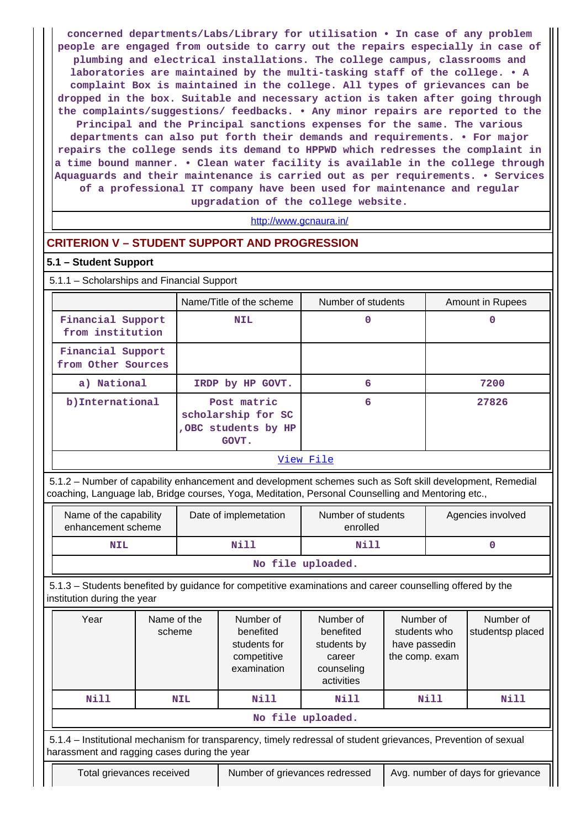**concerned departments/Labs/Library for utilisation • In case of any problem people are engaged from outside to carry out the repairs especially in case of plumbing and electrical installations. The college campus, classrooms and laboratories are maintained by the multi-tasking staff of the college. • A complaint Box is maintained in the college. All types of grievances can be dropped in the box. Suitable and necessary action is taken after going through the complaints/suggestions/ feedbacks. • Any minor repairs are reported to the Principal and the Principal sanctions expenses for the same. The various departments can also put forth their demands and requirements. • For major repairs the college sends its demand to HPPWD which redresses the complaint in a time bound manner. • Clean water facility is available in the college through Aquaguards and their maintenance is carried out as per requirements. • Services of a professional IT company have been used for maintenance and regular upgradation of the college website.**

<http://www.gcnaura.in/>

# **CRITERION V – STUDENT SUPPORT AND PROGRESSION**

### **5.1 – Student Support**

5.1.1 – Scholarships and Financial Support

|                                         | Name/Title of the scheme                                           | Number of students | Amount in Rupees |  |  |  |  |
|-----------------------------------------|--------------------------------------------------------------------|--------------------|------------------|--|--|--|--|
| Financial Support<br>from institution   | <b>NIL</b>                                                         | 0                  |                  |  |  |  |  |
| Financial Support<br>from Other Sources |                                                                    |                    |                  |  |  |  |  |
| a) National                             | IRDP by HP GOVT.                                                   | 6                  | 7200             |  |  |  |  |
| b) International                        | Post matric<br>scholarship for SC<br>, OBC students by HP<br>GOVT. | 6                  | 27826            |  |  |  |  |
|                                         | View File                                                          |                    |                  |  |  |  |  |

 5.1.2 – Number of capability enhancement and development schemes such as Soft skill development, Remedial coaching, Language lab, Bridge courses, Yoga, Meditation, Personal Counselling and Mentoring etc.,

| Name of the capability<br>enhancement scheme | Date of implemetation | Number of students<br>enrolled | Agencies involved |  |  |  |
|----------------------------------------------|-----------------------|--------------------------------|-------------------|--|--|--|
| <b>NIL</b>                                   | Nill                  | Nill                           |                   |  |  |  |
| No file uploaded.                            |                       |                                |                   |  |  |  |

 5.1.3 – Students benefited by guidance for competitive examinations and career counselling offered by the institution during the year

| Year                                                                                                                                                           | Name of the<br>scheme | Number of<br>benefited<br>students for<br>competitive<br>examination | Number of<br>benefited<br>students by<br>career<br>counseling<br>activities | Number of<br>students who<br>have passedin<br>the comp. exam | Number of<br>studentsp placed |
|----------------------------------------------------------------------------------------------------------------------------------------------------------------|-----------------------|----------------------------------------------------------------------|-----------------------------------------------------------------------------|--------------------------------------------------------------|-------------------------------|
| Nill                                                                                                                                                           | <b>NIL</b>            | Nill                                                                 | Nill                                                                        | Nill                                                         | <b>Nill</b>                   |
|                                                                                                                                                                |                       |                                                                      | No file uploaded.                                                           |                                                              |                               |
| 5.1.4 – Institutional mechanism for transparency, timely redressal of student grievances, Prevention of sexual<br>harassment and ragging cases during the year |                       |                                                                      |                                                                             |                                                              |                               |
| Avg. number of days for grievance<br>Number of grievances redressed<br>Total grievances received                                                               |                       |                                                                      |                                                                             |                                                              |                               |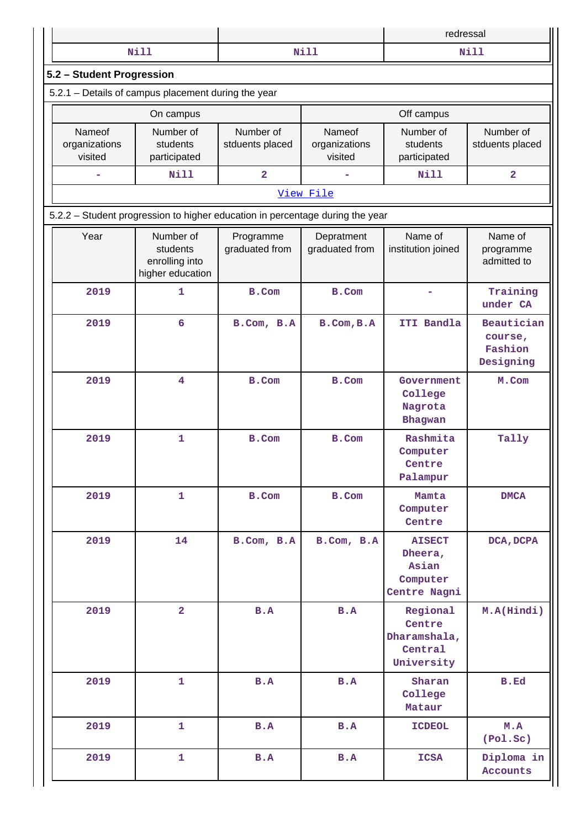|                                                                               |                                                             |                              |                                    | redressal                                                     |                                               |  |  |
|-------------------------------------------------------------------------------|-------------------------------------------------------------|------------------------------|------------------------------------|---------------------------------------------------------------|-----------------------------------------------|--|--|
|                                                                               | <b>Nill</b>                                                 |                              | <b>Nill</b>                        |                                                               | <b>Nill</b>                                   |  |  |
| 5.2 - Student Progression                                                     |                                                             |                              |                                    |                                                               |                                               |  |  |
|                                                                               | 5.2.1 - Details of campus placement during the year         |                              |                                    |                                                               |                                               |  |  |
|                                                                               | On campus                                                   |                              |                                    | Off campus                                                    |                                               |  |  |
| Nameof<br>organizations<br>visited                                            | Number of<br>students<br>participated                       | Number of<br>stduents placed | Nameof<br>organizations<br>visited | Number of<br>students<br>participated                         | Number of<br>stduents placed                  |  |  |
|                                                                               | Nill                                                        | $\overline{\mathbf{2}}$      |                                    | Nill                                                          | $\overline{\mathbf{2}}$                       |  |  |
|                                                                               |                                                             |                              | View File                          |                                                               |                                               |  |  |
| 5.2.2 - Student progression to higher education in percentage during the year |                                                             |                              |                                    |                                                               |                                               |  |  |
| Year                                                                          | Number of<br>students<br>enrolling into<br>higher education | Programme<br>graduated from  | Depratment<br>graduated from       | Name of<br>institution joined                                 | Name of<br>programme<br>admitted to           |  |  |
| 2019                                                                          | $\mathbf{1}$                                                | <b>B.Com</b>                 | <b>B.Com</b>                       |                                                               | Training<br>under CA                          |  |  |
| 2019                                                                          | 6                                                           | B.Com, B.A                   | B.Com, B.A                         | ITI Bandla                                                    | Beautician<br>course,<br>Fashion<br>Designing |  |  |
| 2019                                                                          | $\overline{\mathbf{4}}$                                     | B.Com                        | <b>B.Com</b>                       | Government<br>College<br>Nagrota<br>Bhagwan                   | M.Com                                         |  |  |
| 2019                                                                          | $\mathbf 1$                                                 | B.Com                        | <b>B.Com</b>                       | Rashmita<br>Computer<br>Centre<br>Palampur                    | Tally                                         |  |  |
| 2019                                                                          | $\mathbf{1}$                                                | B.Com                        | B.Com                              | Mamta<br>Computer<br>Centre                                   | <b>DMCA</b>                                   |  |  |
| 2019                                                                          | 14                                                          | B.Com, B.A                   | B.Com, B.A                         | <b>AISECT</b><br>Dheera,<br>Asian<br>Computer<br>Centre Nagni | DCA, DCPA                                     |  |  |
| 2019                                                                          | $\overline{2}$                                              | B.A                          | B.A                                | Regional<br>Centre<br>Dharamshala,<br>Central<br>University   | M.A(Hindi)                                    |  |  |
| 2019                                                                          | $\mathbf{1}$                                                | B.A                          | B.A                                | Sharan<br>College<br>Mataur                                   | <b>B.Ed</b>                                   |  |  |
| 2019                                                                          | $\mathbf{1}$                                                | B.A                          | B.A                                | <b>ICDEOL</b>                                                 | M.A<br>(Pol.Sc)                               |  |  |
| 2019                                                                          | $\mathbf{1}$                                                | B.A                          | B.A                                | <b>ICSA</b>                                                   | Diploma in<br><b>Accounts</b>                 |  |  |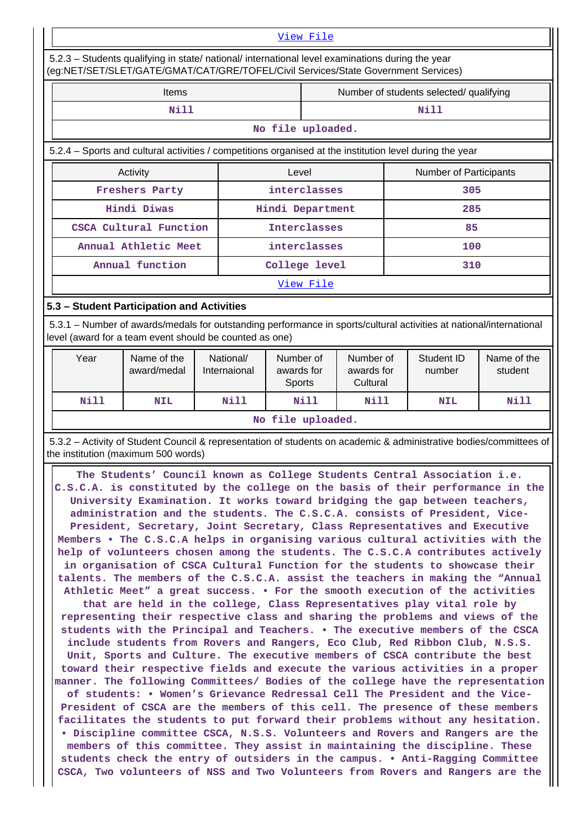#### [View File](https://assessmentonline.naac.gov.in/public/Postacc/Progression/5024_Progression_1611469439.xlsx)

 5.2.3 – Students qualifying in state/ national/ international level examinations during the year (eg:NET/SET/SLET/GATE/GMAT/CAT/GRE/TOFEL/Civil Services/State Government Services)

| <b>Items</b> | Number of students selected/ qualifying |
|--------------|-----------------------------------------|
| Nill         | ווא                                     |

#### **No file uploaded.**

5.2.4 – Sports and cultural activities / competitions organised at the institution level during the year

| Activity               | Level               | <b>Number of Participants</b> |  |
|------------------------|---------------------|-------------------------------|--|
| <b>Freshers Party</b>  | interclasses        | 305                           |  |
| Hindi Diwas            | Hindi Department    | 285                           |  |
| CSCA Cultural Function | <b>Interclasses</b> | 85                            |  |
| Annual Athletic Meet   | interclasses        | 100                           |  |
| Annual function        | College level       | 310                           |  |

[View File](https://assessmentonline.naac.gov.in/public/Postacc/Activities_Organised/5024_Activities_Organised_1602496979.xlsx)

# **5.3 – Student Participation and Activities**

 5.3.1 – Number of awards/medals for outstanding performance in sports/cultural activities at national/international level (award for a team event should be counted as one)

| Year              | Name of the<br>award/medal | National/<br>Internaional | Number of<br>awards for<br><b>Sports</b> | Number of<br>awards for<br>Cultural | Student ID<br>number | Name of the<br>student |
|-------------------|----------------------------|---------------------------|------------------------------------------|-------------------------------------|----------------------|------------------------|
| Nill              | <b>NIL</b>                 | Nill                      | Nill                                     | Nill                                | <b>NIL</b>           | Nill                   |
| No file uploaded. |                            |                           |                                          |                                     |                      |                        |

 5.3.2 – Activity of Student Council & representation of students on academic & administrative bodies/committees of the institution (maximum 500 words)

 **The Students' Council known as College Students Central Association i.e. C.S.C.A. is constituted by the college on the basis of their performance in the University Examination. It works toward bridging the gap between teachers, administration and the students. The C.S.C.A. consists of President, Vice-President, Secretary, Joint Secretary, Class Representatives and Executive Members • The C.S.C.A helps in organising various cultural activities with the help of volunteers chosen among the students. The C.S.C.A contributes actively in organisation of CSCA Cultural Function for the students to showcase their talents. The members of the C.S.C.A. assist the teachers in making the "Annual Athletic Meet" a great success. • For the smooth execution of the activities that are held in the college, Class Representatives play vital role by representing their respective class and sharing the problems and views of the students with the Principal and Teachers. • The executive members of the CSCA include students from Rovers and Rangers, Eco Club, Red Ribbon Club, N.S.S. Unit, Sports and Culture. The executive members of CSCA contribute the best toward their respective fields and execute the various activities in a proper manner. The following Committees/ Bodies of the college have the representation of students: • Women's Grievance Redressal Cell The President and the Vice-President of CSCA are the members of this cell. The presence of these members facilitates the students to put forward their problems without any hesitation. • Discipline committee CSCA, N.S.S. Volunteers and Rovers and Rangers are the members of this committee. They assist in maintaining the discipline. These students check the entry of outsiders in the campus. • Anti-Ragging Committee CSCA, Two volunteers of NSS and Two Volunteers from Rovers and Rangers are the**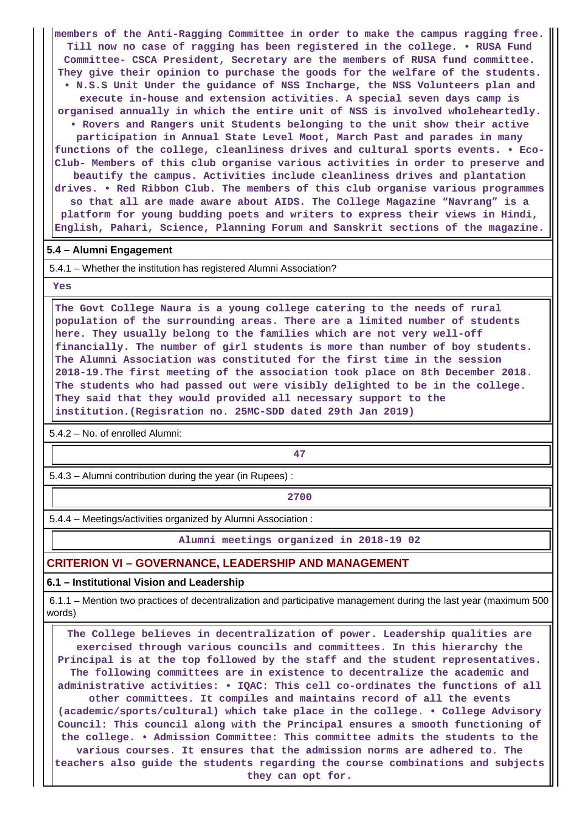**members of the Anti-Ragging Committee in order to make the campus ragging free. Till now no case of ragging has been registered in the college. • RUSA Fund Committee- CSCA President, Secretary are the members of RUSA fund committee. They give their opinion to purchase the goods for the welfare of the students. • N.S.S Unit Under the guidance of NSS Incharge, the NSS Volunteers plan and execute in-house and extension activities. A special seven days camp is organised annually in which the entire unit of NSS is involved wholeheartedly. • Rovers and Rangers unit Students belonging to the unit show their active participation in Annual State Level Moot, March Past and parades in many functions of the college, cleanliness drives and cultural sports events. • Eco-Club- Members of this club organise various activities in order to preserve and beautify the campus. Activities include cleanliness drives and plantation drives. • Red Ribbon Club. The members of this club organise various programmes so that all are made aware about AIDS. The College Magazine "Navrang" is a platform for young budding poets and writers to express their views in Hindi, English, Pahari, Science, Planning Forum and Sanskrit sections of the magazine.**

#### **5.4 – Alumni Engagement**

5.4.1 – Whether the institution has registered Alumni Association?

#### **Yes**

 **The Govt College Naura is a young college catering to the needs of rural population of the surrounding areas. There are a limited number of students here. They usually belong to the families which are not very well-off financially. The number of girl students is more than number of boy students. The Alumni Association was constituted for the first time in the session 2018-19.The first meeting of the association took place on 8th December 2018. The students who had passed out were visibly delighted to be in the college. They said that they would provided all necessary support to the institution.(Regisration no. 25MC-SDD dated 29th Jan 2019)**

5.4.2 – No. of enrolled Alumni:

**47**

5.4.3 – Alumni contribution during the year (in Rupees) :

**2700**

5.4.4 – Meetings/activities organized by Alumni Association :

**Alumni meetings organized in 2018-19 02**

# **CRITERION VI – GOVERNANCE, LEADERSHIP AND MANAGEMENT**

**6.1 – Institutional Vision and Leadership**

 6.1.1 – Mention two practices of decentralization and participative management during the last year (maximum 500 words)

 **The College believes in decentralization of power. Leadership qualities are exercised through various councils and committees. In this hierarchy the Principal is at the top followed by the staff and the student representatives. The following committees are in existence to decentralize the academic and administrative activities: • IQAC: This cell co-ordinates the functions of all other committees. It compiles and maintains record of all the events (academic/sports/cultural) which take place in the college. • College Advisory Council: This council along with the Principal ensures a smooth functioning of the college. • Admission Committee: This committee admits the students to the various courses. It ensures that the admission norms are adhered to. The teachers also guide the students regarding the course combinations and subjects they can opt for.**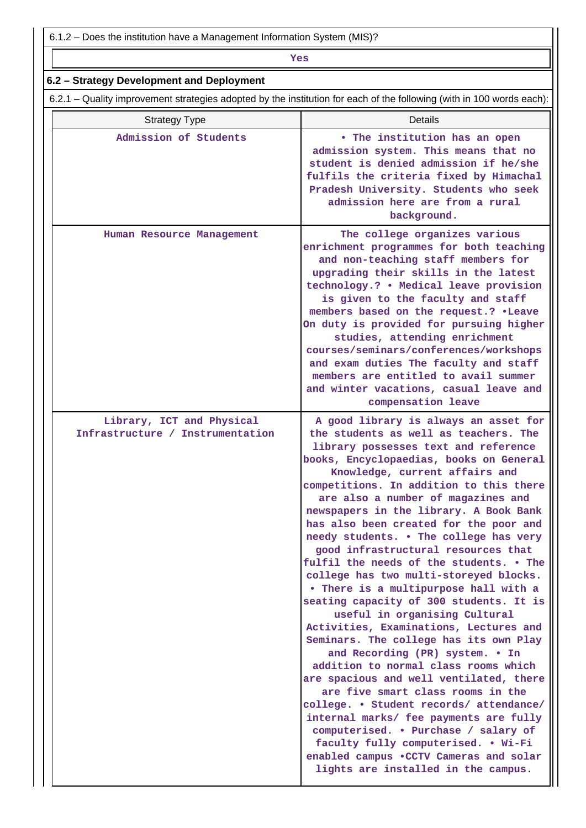6.1.2 – Does the institution have a Management Information System (MIS)?

# *Yes*

| 6.2.1 - Quality improvement strategies adopted by the institution for each of the following (with in 100 words each): |                                                                                                                                                                                                                                                                                                                                                                                                                                                                                                                                                                                                                                                                                                                                                                                                                                                                                                                                                                                                                                                                                        |  |  |  |  |
|-----------------------------------------------------------------------------------------------------------------------|----------------------------------------------------------------------------------------------------------------------------------------------------------------------------------------------------------------------------------------------------------------------------------------------------------------------------------------------------------------------------------------------------------------------------------------------------------------------------------------------------------------------------------------------------------------------------------------------------------------------------------------------------------------------------------------------------------------------------------------------------------------------------------------------------------------------------------------------------------------------------------------------------------------------------------------------------------------------------------------------------------------------------------------------------------------------------------------|--|--|--|--|
| <b>Strategy Type</b>                                                                                                  | Details                                                                                                                                                                                                                                                                                                                                                                                                                                                                                                                                                                                                                                                                                                                                                                                                                                                                                                                                                                                                                                                                                |  |  |  |  |
| Admission of Students                                                                                                 | • The institution has an open<br>admission system. This means that no<br>student is denied admission if he/she<br>fulfils the criteria fixed by Himachal<br>Pradesh University. Students who seek<br>admission here are from a rural<br>background.                                                                                                                                                                                                                                                                                                                                                                                                                                                                                                                                                                                                                                                                                                                                                                                                                                    |  |  |  |  |
| Human Resource Management                                                                                             | The college organizes various<br>enrichment programmes for both teaching<br>and non-teaching staff members for<br>upgrading their skills in the latest<br>technology.? . Medical leave provision<br>is given to the faculty and staff<br>members based on the request.? . Leave<br>On duty is provided for pursuing higher<br>studies, attending enrichment<br>courses/seminars/conferences/workshops<br>and exam duties The faculty and staff<br>members are entitled to avail summer<br>and winter vacations, casual leave and<br>compensation leave                                                                                                                                                                                                                                                                                                                                                                                                                                                                                                                                 |  |  |  |  |
| Library, ICT and Physical<br>Infrastructure / Instrumentation                                                         | A good library is always an asset for<br>the students as well as teachers. The<br>library possesses text and reference<br>books, Encyclopaedias, books on General<br>Knowledge, current affairs and<br>competitions. In addition to this there<br>are also a number of magazines and<br>newspapers in the library. A Book Bank<br>has also been created for the poor and<br>needy students. . The college has very<br>good infrastructural resources that<br>fulfil the needs of the students. • The<br>college has two multi-storeyed blocks.<br>. There is a multipurpose hall with a<br>seating capacity of 300 students. It is<br>useful in organising Cultural<br>Activities, Examinations, Lectures and<br>Seminars. The college has its own Play<br>and Recording (PR) system. . In<br>addition to normal class rooms which<br>are spacious and well ventilated, there<br>are five smart class rooms in the<br>college. • Student records/ attendance/<br>internal marks/ fee payments are fully<br>computerised. • Purchase / salary of<br>faculty fully computerised. • Wi-Fi |  |  |  |  |

led campus •CCTV Cameras an **lights are installed in the campus.**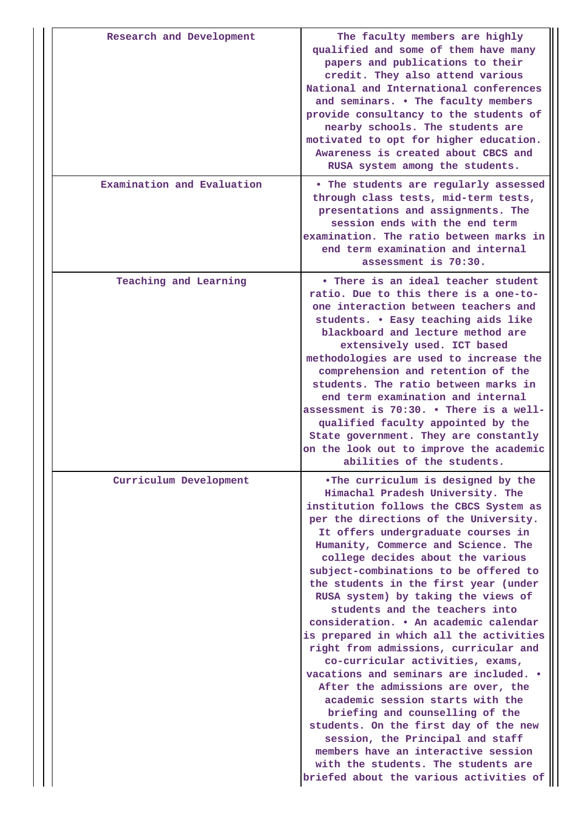| Research and Development   | The faculty members are highly<br>qualified and some of them have many<br>papers and publications to their<br>credit. They also attend various<br>National and International conferences<br>and seminars. . The faculty members<br>provide consultancy to the students of<br>nearby schools. The students are<br>motivated to opt for higher education.<br>Awareness is created about CBCS and<br>RUSA system among the students.                                                                                                                                                                                                                                                                                                                                                                                                                                                                                                                                    |
|----------------------------|----------------------------------------------------------------------------------------------------------------------------------------------------------------------------------------------------------------------------------------------------------------------------------------------------------------------------------------------------------------------------------------------------------------------------------------------------------------------------------------------------------------------------------------------------------------------------------------------------------------------------------------------------------------------------------------------------------------------------------------------------------------------------------------------------------------------------------------------------------------------------------------------------------------------------------------------------------------------|
| Examination and Evaluation | . The students are regularly assessed<br>through class tests, mid-term tests,<br>presentations and assignments. The<br>session ends with the end term<br>examination. The ratio between marks in<br>end term examination and internal<br>assessment is 70:30.                                                                                                                                                                                                                                                                                                                                                                                                                                                                                                                                                                                                                                                                                                        |
| Teaching and Learning      | • There is an ideal teacher student<br>ratio. Due to this there is a one-to-<br>one interaction between teachers and<br>students. . Easy teaching aids like<br>blackboard and lecture method are<br>extensively used. ICT based<br>methodologies are used to increase the<br>comprehension and retention of the<br>students. The ratio between marks in<br>end term examination and internal<br>assessment is 70:30. . There is a well-<br>qualified faculty appointed by the<br>State government. They are constantly<br>on the look out to improve the academic<br>abilities of the students.                                                                                                                                                                                                                                                                                                                                                                      |
| Curriculum Development     | .The curriculum is designed by the<br>Himachal Pradesh University. The<br>institution follows the CBCS System as<br>per the directions of the University.<br>It offers undergraduate courses in<br>Humanity, Commerce and Science. The<br>college decides about the various<br>subject-combinations to be offered to<br>the students in the first year (under<br>RUSA system) by taking the views of<br>students and the teachers into<br>consideration. . An academic calendar<br>is prepared in which all the activities<br>right from admissions, curricular and<br>co-curricular activities, exams,<br>vacations and seminars are included. .<br>After the admissions are over, the<br>academic session starts with the<br>briefing and counselling of the<br>students. On the first day of the new<br>session, the Principal and staff<br>members have an interactive session<br>with the students. The students are<br>briefed about the various activities of |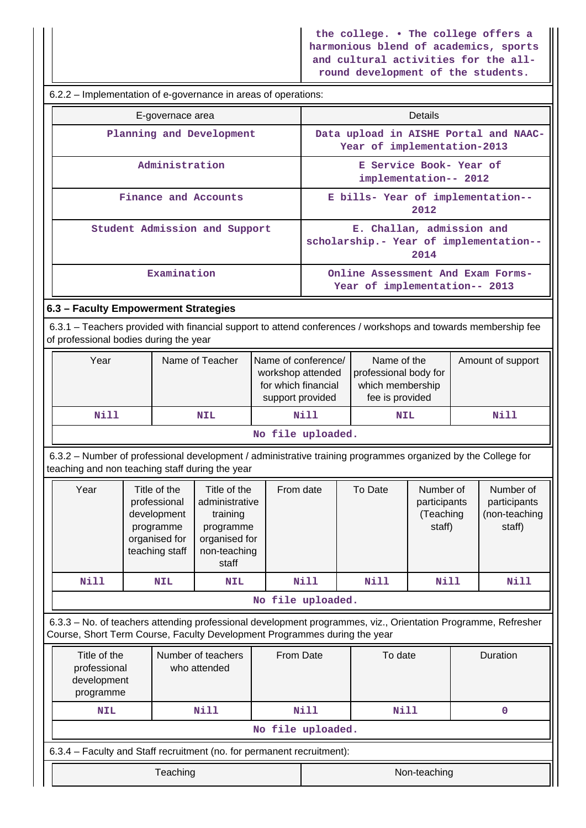**the college. • The college offers a harmonious blend of academics, sports and cultural activities for the allround development of the students.**

 $\mathbf{\mathbf{\mathsf{III}}}$ 

| 6.2.2 – Implementation of e-governance in areas of operations:                                                                                                                             |                                                                                    |                                                                                             |                                                                                                   |                     |                                                                                                  |                                                                             |                                                  |      |                                                      |
|--------------------------------------------------------------------------------------------------------------------------------------------------------------------------------------------|------------------------------------------------------------------------------------|---------------------------------------------------------------------------------------------|---------------------------------------------------------------------------------------------------|---------------------|--------------------------------------------------------------------------------------------------|-----------------------------------------------------------------------------|--------------------------------------------------|------|------------------------------------------------------|
|                                                                                                                                                                                            |                                                                                    | E-governace area                                                                            |                                                                                                   |                     |                                                                                                  |                                                                             | <b>Details</b>                                   |      |                                                      |
|                                                                                                                                                                                            | Planning and Development                                                           |                                                                                             |                                                                                                   |                     | Data upload in AISHE Portal and NAAC-<br>Year of implementation-2013                             |                                                                             |                                                  |      |                                                      |
|                                                                                                                                                                                            | Administration                                                                     |                                                                                             |                                                                                                   |                     |                                                                                                  | E Service Book- Year of<br>implementation-- 2012                            |                                                  |      |                                                      |
|                                                                                                                                                                                            |                                                                                    |                                                                                             | Finance and Accounts                                                                              |                     |                                                                                                  | E bills- Year of implementation--                                           | 2012                                             |      |                                                      |
|                                                                                                                                                                                            | Student Admission and Support                                                      |                                                                                             |                                                                                                   |                     |                                                                                                  | E. Challan, admission and<br>scholarship.- Year of implementation--<br>2014 |                                                  |      |                                                      |
|                                                                                                                                                                                            |                                                                                    | Examination                                                                                 |                                                                                                   |                     |                                                                                                  | Online Assessment And Exam Forms-<br>Year of implementation-- 2013          |                                                  |      |                                                      |
| 6.3 - Faculty Empowerment Strategies                                                                                                                                                       |                                                                                    |                                                                                             |                                                                                                   |                     |                                                                                                  |                                                                             |                                                  |      |                                                      |
| 6.3.1 – Teachers provided with financial support to attend conferences / workshops and towards membership fee<br>of professional bodies during the year                                    |                                                                                    |                                                                                             |                                                                                                   |                     |                                                                                                  |                                                                             |                                                  |      |                                                      |
| Year                                                                                                                                                                                       | Name of Teacher<br>Name of conference/<br>workshop attended<br>for which financial |                                                                                             | support provided                                                                                  |                     | Name of the<br>Amount of support<br>professional body for<br>which membership<br>fee is provided |                                                                             |                                                  |      |                                                      |
| <b>Nill</b>                                                                                                                                                                                |                                                                                    |                                                                                             | <b>NIL</b>                                                                                        |                     | Nill                                                                                             | <b>NIL</b>                                                                  |                                                  | Nill |                                                      |
|                                                                                                                                                                                            |                                                                                    |                                                                                             |                                                                                                   | No file uploaded.   |                                                                                                  |                                                                             |                                                  |      |                                                      |
| 6.3.2 - Number of professional development / administrative training programmes organized by the College for<br>teaching and non teaching staff during the year                            |                                                                                    |                                                                                             |                                                                                                   |                     |                                                                                                  |                                                                             |                                                  |      |                                                      |
| Year                                                                                                                                                                                       |                                                                                    | Title of the<br>professional<br>development<br>programme<br>organised for<br>teaching staff | Title of the<br>administrative<br>training<br>programme<br>organised for<br>non-teaching<br>staff | From date           |                                                                                                  | To Date                                                                     | Number of<br>participants<br>(Teaching<br>staff) |      | Number of<br>participants<br>(non-teaching<br>staff) |
| <b>Nill</b>                                                                                                                                                                                |                                                                                    | <b>NIL</b>                                                                                  | <b>NIL</b>                                                                                        |                     | Nill                                                                                             | Nill                                                                        | <b>Nill</b>                                      |      | Nill                                                 |
|                                                                                                                                                                                            |                                                                                    |                                                                                             |                                                                                                   | No file uploaded.   |                                                                                                  |                                                                             |                                                  |      |                                                      |
| 6.3.3 - No. of teachers attending professional development programmes, viz., Orientation Programme, Refresher<br>Course, Short Term Course, Faculty Development Programmes during the year |                                                                                    |                                                                                             |                                                                                                   |                     |                                                                                                  |                                                                             |                                                  |      |                                                      |
| Title of the<br>Number of teachers<br>professional<br>who attended<br>development<br>programme                                                                                             |                                                                                    | From Date                                                                                   |                                                                                                   | To date<br>Duration |                                                                                                  |                                                                             |                                                  |      |                                                      |
| <b>NIL</b>                                                                                                                                                                                 |                                                                                    |                                                                                             | <b>Nill</b>                                                                                       |                     | <b>Nill</b>                                                                                      | Nill                                                                        |                                                  |      | $\mathbf 0$                                          |
|                                                                                                                                                                                            |                                                                                    |                                                                                             |                                                                                                   | No file uploaded.   |                                                                                                  |                                                                             |                                                  |      |                                                      |
| 6.3.4 - Faculty and Staff recruitment (no. for permanent recruitment):                                                                                                                     |                                                                                    |                                                                                             |                                                                                                   |                     |                                                                                                  |                                                                             |                                                  |      |                                                      |
|                                                                                                                                                                                            |                                                                                    | Teaching                                                                                    |                                                                                                   |                     |                                                                                                  |                                                                             | Non-teaching                                     |      |                                                      |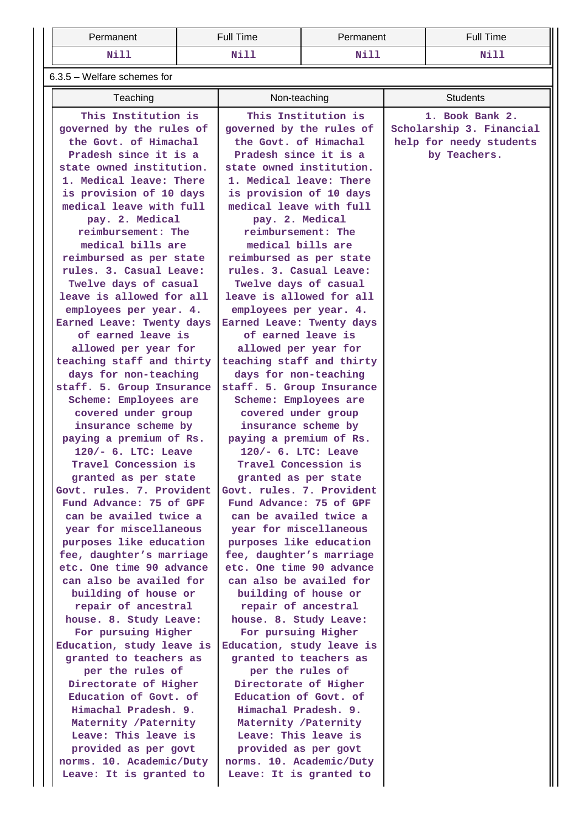| Permanent | <b>Full Time</b> | Permanent   | <b>Full Time</b> |
|-----------|------------------|-------------|------------------|
| Nill      | <u>דו+זה</u>     | <b>Mill</b> | ד ד-זא           |

6.3.5 – Welfare schemes for

| Teaching                                       | Non-teaching                                   | <b>Students</b>          |
|------------------------------------------------|------------------------------------------------|--------------------------|
| This Institution is                            | This Institution is                            | 1. Book Bank 2.          |
| governed by the rules of                       | governed by the rules of                       | Scholarship 3. Financial |
| the Govt. of Himachal                          | the Govt. of Himachal                          | help for needy students  |
| Pradesh since it is a                          | Pradesh since it is a                          | by Teachers.             |
| state owned institution.                       | state owned institution.                       |                          |
| 1. Medical leave: There                        | 1. Medical leave: There                        |                          |
| is provision of 10 days                        | is provision of 10 days                        |                          |
| medical leave with full                        | medical leave with full                        |                          |
| pay. 2. Medical                                | pay. 2. Medical                                |                          |
| reimbursement: The                             | reimbursement: The                             |                          |
| medical bills are                              | medical bills are                              |                          |
| reimbursed as per state                        | reimbursed as per state                        |                          |
| rules. 3. Casual Leave:                        | rules. 3. Casual Leave:                        |                          |
| Twelve days of casual                          | Twelve days of casual                          |                          |
| leave is allowed for all                       | leave is allowed for all                       |                          |
| employees per year. 4.                         | employees per year. 4.                         |                          |
| Earned Leave: Twenty days                      | Earned Leave: Twenty days                      |                          |
| of earned leave is                             | of earned leave is                             |                          |
| allowed per year for                           | allowed per year for                           |                          |
| teaching staff and thirty                      | teaching staff and thirty                      |                          |
| days for non-teaching                          | days for non-teaching                          |                          |
| staff. 5. Group Insurance                      | staff. 5. Group Insurance                      |                          |
| Scheme: Employees are                          | Scheme: Employees are                          |                          |
| covered under group                            | covered under group                            |                          |
| insurance scheme by                            | insurance scheme by                            |                          |
| paying a premium of Rs.<br>120/- 6. LTC: Leave | paying a premium of Rs.<br>120/- 6. LTC: Leave |                          |
| Travel Concession is                           | Travel Concession is                           |                          |
| granted as per state                           | granted as per state                           |                          |
| Govt. rules. 7. Provident                      | Govt. rules. 7. Provident                      |                          |
| Fund Advance: 75 of GPF                        | Fund Advance: 75 of GPF                        |                          |
| can be availed twice a                         | can be availed twice a                         |                          |
| year for miscellaneous                         | year for miscellaneous                         |                          |
| purposes like education                        | purposes like education                        |                          |
| fee, daughter's marriage                       | fee, daughter's marriage                       |                          |
| etc. One time 90 advance                       | etc. One time 90 advance                       |                          |
| can also be availed for                        | can also be availed for                        |                          |
| building of house or                           | building of house or                           |                          |
| repair of ancestral                            | repair of ancestral                            |                          |
| house. 8. Study Leave:                         | house. 8. Study Leave:                         |                          |
| For pursuing Higher                            | For pursuing Higher                            |                          |
| Education, study leave is                      | Education, study leave is                      |                          |
| granted to teachers as                         | granted to teachers as                         |                          |
| per the rules of                               | per the rules of                               |                          |
| Directorate of Higher                          | Directorate of Higher                          |                          |
| Education of Govt. of                          | Education of Govt. of                          |                          |
| Himachal Pradesh. 9.                           | Himachal Pradesh. 9.                           |                          |
| Maternity / Paternity                          | Maternity / Paternity                          |                          |
| Leave: This leave is                           | Leave: This leave is                           |                          |
| provided as per govt                           | provided as per govt                           |                          |
| norms. 10. Academic/Duty                       | norms. 10. Academic/Duty                       |                          |
| Leave: It is granted to                        | Leave: It is granted to                        |                          |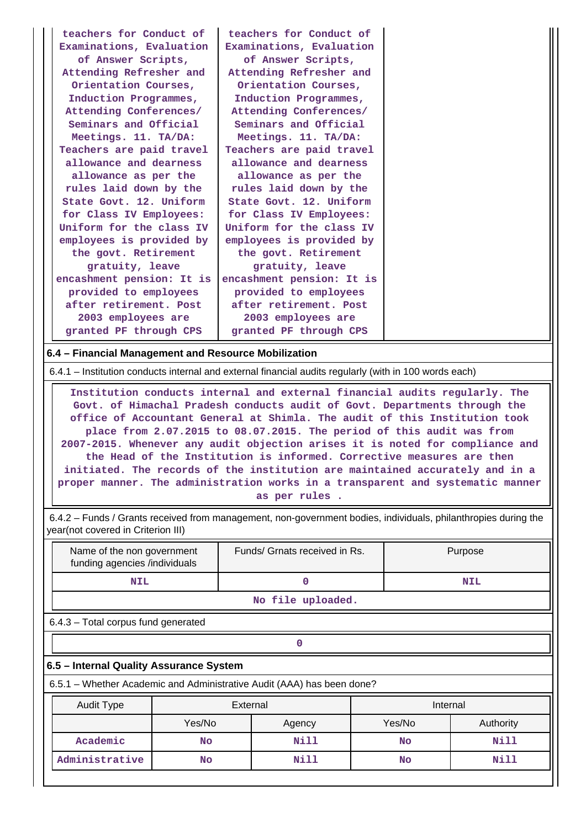| teachers for Conduct of                                                                                | teachers for Conduct of   |  |
|--------------------------------------------------------------------------------------------------------|---------------------------|--|
| Examinations, Evaluation                                                                               | Examinations, Evaluation  |  |
| of Answer Scripts,                                                                                     | of Answer Scripts,        |  |
| Attending Refresher and                                                                                | Attending Refresher and   |  |
| Orientation Courses,                                                                                   | Orientation Courses,      |  |
| Induction Programmes,                                                                                  | Induction Programmes,     |  |
| Attending Conferences/                                                                                 | Attending Conferences/    |  |
| Seminars and Official                                                                                  | Seminars and Official     |  |
| Meetings. 11. TA/DA:                                                                                   | Meetings. 11. TA/DA:      |  |
| Teachers are paid travel                                                                               | Teachers are paid travel  |  |
| allowance and dearness                                                                                 | allowance and dearness    |  |
| allowance as per the                                                                                   | allowance as per the      |  |
| rules laid down by the                                                                                 | rules laid down by the    |  |
| State Govt. 12. Uniform                                                                                | State Govt. 12. Uniform   |  |
| for Class IV Employees:                                                                                | for Class IV Employees:   |  |
| Uniform for the class IV                                                                               | Uniform for the class IV  |  |
| employees is provided by                                                                               | employees is provided by  |  |
| the govt. Retirement                                                                                   | the govt. Retirement      |  |
| gratuity, leave                                                                                        | gratuity, leave           |  |
| encashment pension: It is                                                                              | encashment pension: It is |  |
| provided to employees                                                                                  | provided to employees     |  |
| after retirement. Post                                                                                 | after retirement. Post    |  |
| 2003 employees are                                                                                     | 2003 employees are        |  |
| granted PF through CPS                                                                                 | granted PF through CPS    |  |
| 6.4 - Financial Management and Resource Mobilization                                                   |                           |  |
| 6.4.1 – Institution conducts internal and external financial audits regularly (with in 100 words each) |                           |  |

 **Institution conducts internal and external financial audits regularly. The Govt. of Himachal Pradesh conducts audit of Govt. Departments through the office of Accountant General at Shimla. The audit of this Institution took place from 2.07.2015 to 08.07.2015. The period of this audit was from 2007-2015. Whenever any audit objection arises it is noted for compliance and the Head of the Institution is informed. Corrective measures are then initiated. The records of the institution are maintained accurately and in a proper manner. The administration works in a transparent and systematic manner as per rules .**

 6.4.2 – Funds / Grants received from management, non-government bodies, individuals, philanthropies during the year(not covered in Criterion III)

| Name of the non government<br>funding agencies /individuals | Funds/ Grnats received in Rs. | Purpose |  |  |  |
|-------------------------------------------------------------|-------------------------------|---------|--|--|--|
| NIL                                                         |                               | NIL     |  |  |  |
| No file uploaded.                                           |                               |         |  |  |  |
| 6.4.3 - Total corpus fund generated                         |                               |         |  |  |  |

#### **6.5 – Internal Quality Assurance System**

**0**

6.5.1 – Whether Academic and Administrative Audit (AAA) has been done?

| <b>Audit Type</b> | External         |      | Internal  |           |  |
|-------------------|------------------|------|-----------|-----------|--|
|                   | Yes/No<br>Agency |      | Yes/No    | Authority |  |
| Academic          | No               | Nill | No        | Nill      |  |
| Administrative    | Nill<br>No       |      | <b>No</b> | Nill      |  |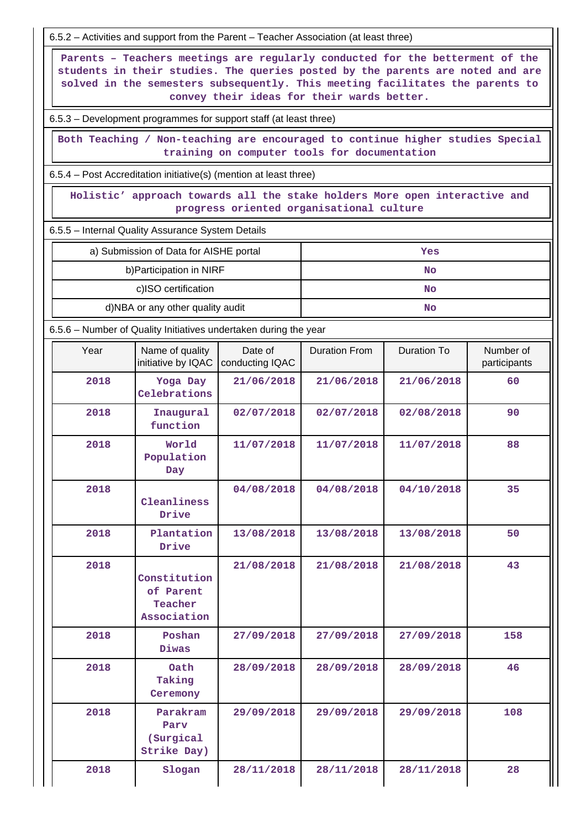6.5.2 – Activities and support from the Parent – Teacher Association (at least three)

 **Parents – Teachers meetings are regularly conducted for the betterment of the students in their studies. The queries posted by the parents are noted and are solved in the semesters subsequently. This meeting facilitates the parents to convey their ideas for their wards better.**

6.5.3 – Development programmes for support staff (at least three)

 **Both Teaching / Non-teaching are encouraged to continue higher studies Special training on computer tools for documentation**

6.5.4 – Post Accreditation initiative(s) (mention at least three)

 **Holistic' approach towards all the stake holders More open interactive and progress oriented organisational culture**

6.5.5 – Internal Quality Assurance System Details

| a) Submission of Data for AISHE portal | Yes       |
|----------------------------------------|-----------|
| b) Participation in NIRF               | <b>No</b> |
| c)ISO certification                    | <b>No</b> |
| d)NBA or any other quality audit       | <b>No</b> |

6.5.6 – Number of Quality Initiatives undertaken during the year

| Year | Name of quality<br>initiative by IQAC               | Date of<br>conducting IQAC | <b>Duration From</b> | Duration To | Number of<br>participants |
|------|-----------------------------------------------------|----------------------------|----------------------|-------------|---------------------------|
| 2018 | Yoga Day<br>Celebrations                            | 21/06/2018                 | 21/06/2018           | 21/06/2018  | 60                        |
| 2018 | Inaugural<br>function                               | 02/07/2018                 | 02/07/2018           | 02/08/2018  | 90                        |
| 2018 | World<br>Population<br>Day                          | 11/07/2018                 | 11/07/2018           | 11/07/2018  | 88                        |
| 2018 | Cleanliness<br>Drive                                | 04/08/2018                 | 04/08/2018           | 04/10/2018  | 35                        |
| 2018 | Plantation<br>Drive                                 | 13/08/2018                 | 13/08/2018           | 13/08/2018  | 50                        |
| 2018 | Constitution<br>of Parent<br>Teacher<br>Association | 21/08/2018                 | 21/08/2018           | 21/08/2018  | 43                        |
| 2018 | Poshan<br>Diwas                                     | 27/09/2018                 | 27/09/2018           | 27/09/2018  | 158                       |
| 2018 | Oath<br>Taking<br>Ceremony                          | 28/09/2018                 | 28/09/2018           | 28/09/2018  | 46                        |
| 2018 | Parakram<br>Parv<br>(Surgical<br>Strike Day)        | 29/09/2018                 | 29/09/2018           | 29/09/2018  | 108                       |
| 2018 | Slogan                                              | 28/11/2018                 | 28/11/2018           | 28/11/2018  | 28                        |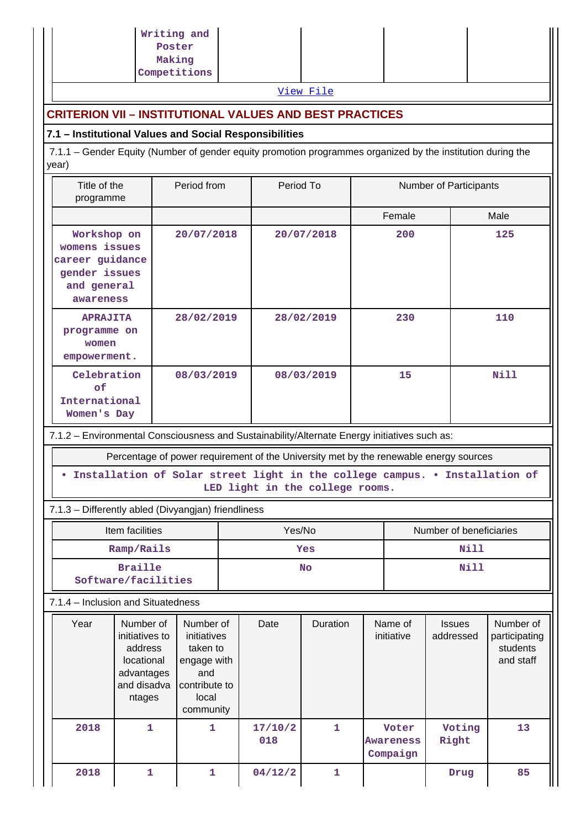|                                                                                                                      | Writing and<br>Poster<br>Making<br>Competitions                                                   |                                 |                |            |                                       |                         |                            |                                                     |  |
|----------------------------------------------------------------------------------------------------------------------|---------------------------------------------------------------------------------------------------|---------------------------------|----------------|------------|---------------------------------------|-------------------------|----------------------------|-----------------------------------------------------|--|
|                                                                                                                      |                                                                                                   |                                 |                | View File  |                                       |                         |                            |                                                     |  |
| <b>CRITERION VII - INSTITUTIONAL VALUES AND BEST PRACTICES</b>                                                       |                                                                                                   |                                 |                |            |                                       |                         |                            |                                                     |  |
| 7.1 - Institutional Values and Social Responsibilities                                                               |                                                                                                   |                                 |                |            |                                       |                         |                            |                                                     |  |
| 7.1.1 – Gender Equity (Number of gender equity promotion programmes organized by the institution during the<br>year) |                                                                                                   |                                 |                |            |                                       |                         |                            |                                                     |  |
| Title of the<br>programme                                                                                            | Period from                                                                                       |                                 | Period To      |            | Number of Participants                |                         |                            |                                                     |  |
|                                                                                                                      |                                                                                                   |                                 |                |            | Female                                |                         |                            | Male                                                |  |
| Workshop on<br>womens issues<br>career guidance<br>gender issues<br>and general<br>awareness                         |                                                                                                   | 20/07/2018<br>20/07/2018<br>200 |                |            | 125                                   |                         |                            |                                                     |  |
| <b>APRAJITA</b><br>programme on<br>women<br>empowerment.                                                             | 28/02/2019                                                                                        |                                 |                | 28/02/2019 | 230                                   |                         |                            | 110                                                 |  |
| Celebration<br>оf<br>International<br>Women's Day                                                                    | 08/03/2019                                                                                        |                                 |                | 08/03/2019 | 15                                    |                         |                            | Nill                                                |  |
| 7.1.2 - Environmental Consciousness and Sustainability/Alternate Energy initiatives such as:                         |                                                                                                   |                                 |                |            |                                       |                         |                            |                                                     |  |
| Percentage of power requirement of the University met by the renewable energy sources                                |                                                                                                   |                                 |                |            |                                       |                         |                            |                                                     |  |
| Installation of Solar street light in the college campus. . Installation of<br>LED light in the college rooms.       |                                                                                                   |                                 |                |            |                                       |                         |                            |                                                     |  |
| 7.1.3 - Differently abled (Divyangjan) friendliness                                                                  |                                                                                                   |                                 |                |            |                                       |                         |                            |                                                     |  |
| Item facilities                                                                                                      |                                                                                                   |                                 |                | Yes/No     |                                       | Number of beneficiaries |                            |                                                     |  |
| Ramp/Rails                                                                                                           |                                                                                                   | Yes                             |                |            | Nill                                  |                         |                            |                                                     |  |
| <b>Braille</b><br>Software/facilities                                                                                |                                                                                                   |                                 | <b>No</b>      |            |                                       | <b>Nill</b>             |                            |                                                     |  |
| 7.1.4 - Inclusion and Situatedness                                                                                   |                                                                                                   |                                 |                |            |                                       |                         |                            |                                                     |  |
| Year<br>Number of<br>initiatives to<br>address<br>locational<br>advantages<br>and disadva<br>ntages                  | Number of<br>initiatives<br>taken to<br>engage with<br>and<br>contribute to<br>local<br>community |                                 | Date           | Duration   | Name of<br>initiative                 |                         | <b>Issues</b><br>addressed | Number of<br>participating<br>students<br>and staff |  |
| 2018                                                                                                                 | 1<br>$\mathbf{1}$                                                                                 |                                 | 17/10/2<br>018 | 1          | Voter<br><b>Awareness</b><br>Compaign |                         | Voting<br>Right            | 13                                                  |  |
| 2018                                                                                                                 | 1<br>1                                                                                            |                                 | 04/12/2        | 1          |                                       |                         | Drug                       | 85                                                  |  |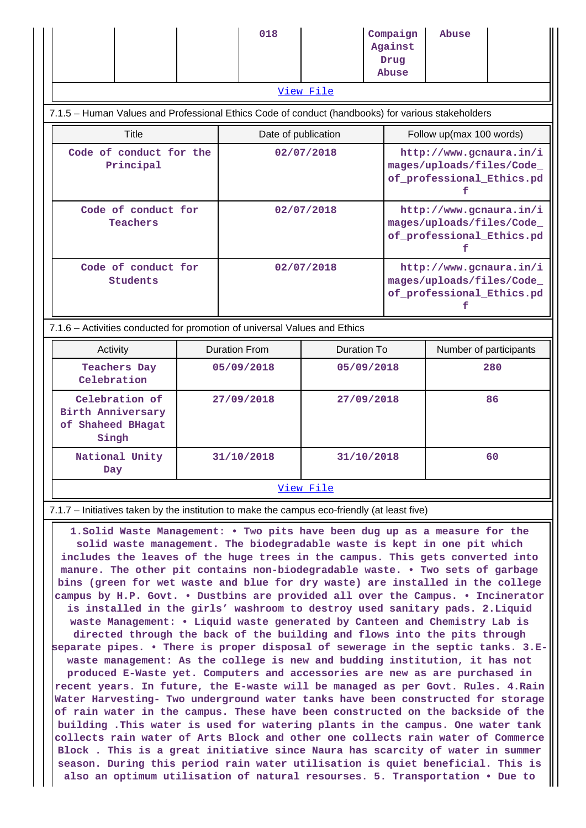|           |  |  | 018 |  | Compaign<br>Against<br>Drug<br>Abuse | Abuse |  |
|-----------|--|--|-----|--|--------------------------------------|-------|--|
| View File |  |  |     |  |                                      |       |  |

#### 7.1.5 – Human Values and Professional Ethics Code of conduct (handbooks) for various stakeholders

| Title                                | Date of publication | Follow up(max 100 words)                                                          |
|--------------------------------------|---------------------|-----------------------------------------------------------------------------------|
| Code of conduct for the<br>Principal | 02/07/2018          | http://www.gcnaura.in/i<br>mages/uploads/files/Code_<br>of professional Ethics.pd |
| Code of conduct for<br>Teachers      | 02/07/2018          | http://www.gcnaura.in/i<br>mages/uploads/files/Code<br>of professional Ethics.pd  |
| Code of conduct for<br>Students      | 02/07/2018          | http://www.gcnaura.in/i<br>mages/uploads/files/Code_<br>of professional Ethics.pd |

#### 7.1.6 – Activities conducted for promotion of universal Values and Ethics

| Activity                                                          | Duration From | Duration To | Number of participants |  |  |
|-------------------------------------------------------------------|---------------|-------------|------------------------|--|--|
| <b>Teachers Day</b><br>Celebration                                | 05/09/2018    | 05/09/2018  | 280                    |  |  |
| Celebration of<br>Birth Anniversary<br>of Shaheed BHagat<br>Singh | 27/09/2018    | 27/09/2018  | 86                     |  |  |
| National Unity<br>Day                                             | 31/10/2018    | 31/10/2018  | 60                     |  |  |
| View File                                                         |               |             |                        |  |  |

#### 7.1.7 – Initiatives taken by the institution to make the campus eco-friendly (at least five)

 **1.Solid Waste Management: • Two pits have been dug up as a measure for the solid waste management. The biodegradable waste is kept in one pit which includes the leaves of the huge trees in the campus. This gets converted into manure. The other pit contains non-biodegradable waste. • Two sets of garbage bins (green for wet waste and blue for dry waste) are installed in the college campus by H.P. Govt. • Dustbins are provided all over the Campus. • Incinerator is installed in the girls' washroom to destroy used sanitary pads. 2.Liquid waste Management: • Liquid waste generated by Canteen and Chemistry Lab is directed through the back of the building and flows into the pits through separate pipes. • There is proper disposal of sewerage in the septic tanks. 3.Ewaste management: As the college is new and budding institution, it has not produced E-Waste yet. Computers and accessories are new as are purchased in recent years. In future, the E-waste will be managed as per Govt. Rules. 4.Rain Water Harvesting- Two underground water tanks have been constructed for storage of rain water in the campus. These have been constructed on the backside of the building .This water is used for watering plants in the campus. One water tank collects rain water of Arts Block and other one collects rain water of Commerce Block . This is a great initiative since Naura has scarcity of water in summer season. During this period rain water utilisation is quiet beneficial. This is also an optimum utilisation of natural resourses. 5. Transportation • Due to**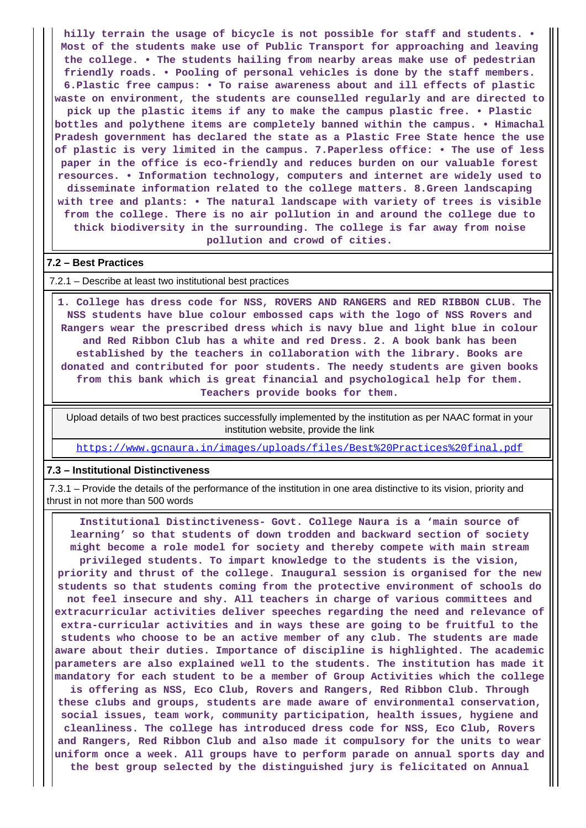**hilly terrain the usage of bicycle is not possible for staff and students. • Most of the students make use of Public Transport for approaching and leaving the college. • The students hailing from nearby areas make use of pedestrian friendly roads. • Pooling of personal vehicles is done by the staff members. 6.Plastic free campus: • To raise awareness about and ill effects of plastic waste on environment, the students are counselled regularly and are directed to pick up the plastic items if any to make the campus plastic free. • Plastic bottles and polythene items are completely banned within the campus. • Himachal Pradesh government has declared the state as a Plastic Free State hence the use of plastic is very limited in the campus. 7.Paperless office: • The use of less paper in the office is eco-friendly and reduces burden on our valuable forest resources. • Information technology, computers and internet are widely used to disseminate information related to the college matters. 8.Green landscaping with tree and plants: • The natural landscape with variety of trees is visible from the college. There is no air pollution in and around the college due to thick biodiversity in the surrounding. The college is far away from noise pollution and crowd of cities.**

#### **7.2 – Best Practices**

7.2.1 – Describe at least two institutional best practices

 **1. College has dress code for NSS, ROVERS AND RANGERS and RED RIBBON CLUB. The NSS students have blue colour embossed caps with the logo of NSS Rovers and Rangers wear the prescribed dress which is navy blue and light blue in colour and Red Ribbon Club has a white and red Dress. 2. A book bank has been established by the teachers in collaboration with the library. Books are donated and contributed for poor students. The needy students are given books from this bank which is great financial and psychological help for them. Teachers provide books for them.**

 Upload details of two best practices successfully implemented by the institution as per NAAC format in your institution website, provide the link

<https://www.gcnaura.in/images/uploads/files/Best%20Practices%20final.pdf>

#### **7.3 – Institutional Distinctiveness**

 7.3.1 – Provide the details of the performance of the institution in one area distinctive to its vision, priority and thrust in not more than 500 words

 **Institutional Distinctiveness- Govt. College Naura is a 'main source of learning' so that students of down trodden and backward section of society might become a role model for society and thereby compete with main stream privileged students. To impart knowledge to the students is the vision, priority and thrust of the college. Inaugural session is organised for the new students so that students coming from the protective environment of schools do not feel insecure and shy. All teachers in charge of various committees and extracurricular activities deliver speeches regarding the need and relevance of extra-curricular activities and in ways these are going to be fruitful to the students who choose to be an active member of any club. The students are made aware about their duties. Importance of discipline is highlighted. The academic parameters are also explained well to the students. The institution has made it mandatory for each student to be a member of Group Activities which the college is offering as NSS, Eco Club, Rovers and Rangers, Red Ribbon Club. Through these clubs and groups, students are made aware of environmental conservation, social issues, team work, community participation, health issues, hygiene and cleanliness. The college has introduced dress code for NSS, Eco Club, Rovers and Rangers, Red Ribbon Club and also made it compulsory for the units to wear uniform once a week. All groups have to perform parade on annual sports day and**

**the best group selected by the distinguished jury is felicitated on Annual**